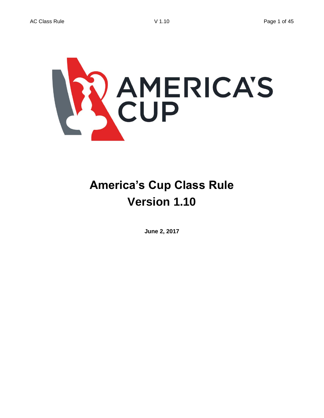

# **America's Cup Class Rule Version 1.10**

**June 2, 2017**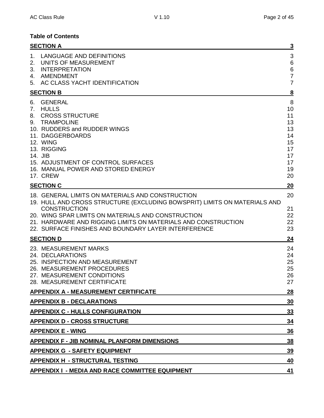## **Table of Contents**

| <b>SECTION A</b>                                                                                                                                                                                                                                                                                                                    | $\overline{3}$                                                      |
|-------------------------------------------------------------------------------------------------------------------------------------------------------------------------------------------------------------------------------------------------------------------------------------------------------------------------------------|---------------------------------------------------------------------|
| LANGUAGE AND DEFINITIONS<br>1.<br>UNITS OF MEASUREMENT<br>2.<br><b>INTERPRETATION</b><br>3.<br>4. AMENDMENT<br>5. AC CLASS YACHT IDENTIFICATION                                                                                                                                                                                     | $\sqrt{3}$<br>$\,6$<br>6<br>$\overline{7}$<br>$\overline{7}$        |
| <b>SECTION B</b>                                                                                                                                                                                                                                                                                                                    | $\overline{\mathbf{8}}$                                             |
| <b>GENERAL</b><br>6.<br><b>HULLS</b><br>7.<br><b>CROSS STRUCTURE</b><br>8.<br><b>TRAMPOLINE</b><br>9.<br>10. RUDDERS and RUDDER WINGS<br>11. DAGGERBOARDS<br>12. WING<br>13. RIGGING<br>14. JIB<br>15. ADJUSTMENT OF CONTROL SURFACES<br>16. MANUAL POWER AND STORED ENERGY<br>17. CREW                                             | 8<br>10<br>11<br>13<br>13<br>14<br>15<br>17<br>17<br>17<br>19<br>20 |
| <b>SECTION C</b>                                                                                                                                                                                                                                                                                                                    | 20                                                                  |
| 18. GENERAL LIMITS ON MATERIALS AND CONSTRUCTION<br>19. HULL AND CROSS STRUCTURE (EXCLUDING BOWSPRIT) LIMITS ON MATERIALS AND<br><b>CONSTRUCTION</b><br>20. WING SPAR LIMITS ON MATERIALS AND CONSTRUCTION<br>21. HARDWARE AND RIGGING LIMITS ON MATERIALS AND CONSTRUCTION<br>22. SURFACE FINISHES AND BOUNDARY LAYER INTERFERENCE | 20<br>21<br>22<br>22<br>23                                          |
| <b>SECTION D</b>                                                                                                                                                                                                                                                                                                                    | 24                                                                  |
| 23. MEASUREMENT MARKS<br>24. DECLARATIONS<br>25. INSPECTION AND MEASUREMENT<br>26. MEASUREMENT PROCEDURES<br>27. MEASUREMENT CONDITIONS<br>28. MEASUREMENT CERTIFICATE                                                                                                                                                              | 24<br>24<br>25<br>25<br>26<br>27                                    |
| <b>APPENDIX A - MEASUREMENT CERTIFICATE</b>                                                                                                                                                                                                                                                                                         | <b>28</b>                                                           |
| <u> APPENDIX B - DECLARATIONS</u>                                                                                                                                                                                                                                                                                                   | <u>30</u>                                                           |
| <b>APPENDIX C - HULLS CONFIGURATION</b>                                                                                                                                                                                                                                                                                             | 33                                                                  |
| <b>APPENDIX D - CROSS STRUCTURE</b>                                                                                                                                                                                                                                                                                                 | 34                                                                  |
| <b>APPENDIX E - WING</b>                                                                                                                                                                                                                                                                                                            | 36                                                                  |
| <b>APPENDIX F - JIB NOMINAL PLANFORM DIMENSIONS</b>                                                                                                                                                                                                                                                                                 | 38                                                                  |
| <b>APPENDIX G - SAFETY EQUIPMENT</b>                                                                                                                                                                                                                                                                                                | 39                                                                  |
| <b>APPENDIX H - STRUCTURAL TESTING</b>                                                                                                                                                                                                                                                                                              | 40                                                                  |
| <b>APPENDIX I - MEDIA AND RACE COMMITTEE EQUIPMENT</b>                                                                                                                                                                                                                                                                              | 41                                                                  |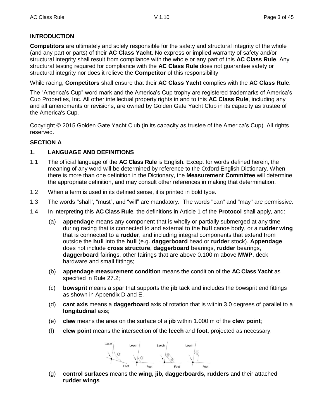## **INTRODUCTION**

**Competitors** are ultimately and solely responsible for the safety and structural integrity of the whole (and any part or parts) of their **AC Class Yacht**. No express or implied warranty of safety and/or structural integrity shall result from compliance with the whole or any part of this **AC Class Rule**. Any structural testing required for compliance with the **AC Class Rule** does not guarantee safety or structural integrity nor does it relieve the **Competitor** of this responsibility

While racing, **Competitors** shall ensure that their **AC Class Yacht** complies with the **AC Class Rule**.

The "America's Cup" word mark and the America's Cup trophy are registered trademarks of America's Cup Properties, Inc. All other intellectual property rights in and to this **AC Class Rule**, including any and all amendments or revisions, are owned by Golden Gate Yacht Club in its capacity as trustee of the America's Cup.

Copyright © 2015 Golden Gate Yacht Club (in its capacity as trustee of the America's Cup). All rights reserved.

## **SECTION A**

## **1. LANGUAGE AND DEFINITIONS**

- 1.1 The official language of the **AC Class Rule** is English. Except for words defined herein, the meaning of any word will be determined by reference to the Oxford English Dictionary. When there is more than one definition in the Dictionary, the **Measurement Committee** will determine the appropriate definition, and may consult other references in making that determination.
- 1.2 When a term is used in its defined sense, it is printed in bold type.
- 1.3 The words "shall", "must", and "will" are mandatory. The words "can" and "may" are permissive.
- 1.4 In interpreting this **AC Class Rule**, the definitions in Article 1 of the **Protocol** shall apply, and:
	- (a) **appendage** means any component that is wholly or partially submerged at any time during racing that is connected to and external to the **hull** canoe body, or a **rudder wing** that is connected to a **rudder**, and including integral components that extend from outside the **hull** into the **hull** (e.g. **daggerboard** head or **rudder** stock). **Appendage** does not include **cross structure**, **daggerboard** bearings, **rudder** bearings, **daggerboard** fairings, other fairings that are above 0.100 m above **MWP**, deck hardware and small fittings;
	- (b) **appendage measurement condition** means the condition of the **AC Class Yacht** as specified in Rule 27.2;
	- (c) **bowsprit** means a spar that supports the **jib** tack and includes the bowsprit end fittings as shown in Appendix D and E.
	- (d) **cant axis** means a **daggerboard** axis of rotation that is within 3.0 degrees of parallel to a **longitudinal** axis;
	- (e) **clew** means the area on the surface of a **jib** within 1.000 m of the **clew point**;
	- (f) **clew point** means the intersection of the **leech** and **foot**, projected as necessary;



(g) **control surfaces** means the **wing, jib, daggerboards, rudders** and their attached **rudder wings**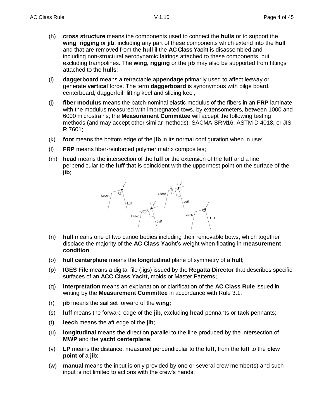- (h) **cross structure** means the components used to connect the **hulls** or to support the **wing**, **rigging** or **jib**, including any part of these components which extend into the **hull** and that are removed from the **hull** if the **AC Class Yacht** is disassembled and including non-structural aerodynamic fairings attached to these components, but excluding trampolines. The **wing, rigging** or the **jib** may also be supported from fittings attached to the **hulls**;
- (i) **daggerboard** means a retractable **appendage** primarily used to affect leeway or generate **vertical** force. The term **daggerboard** is synonymous with bilge board, centerboard, daggerfoil, lifting keel and sliding keel;
- (j) **fiber modulus** means the batch-nominal elastic modulus of the fibers in an **FRP** laminate with the modulus measured with impregnated tows, by extensometers, between 1000 and 6000 microstrains; the **Measurement Committee** will accept the following testing methods (and may accept other similar methods): SACMA-SRM16, ASTM D 4018, or JIS R 7601;
- (k) **foot** means the bottom edge of the **jib** in its normal configuration when in use;
- (l) **FRP** means fiber-reinforced polymer matrix composites;
- (m) **head** means the intersection of the **luff** or the extension of the **luff** and a line perpendicular to the **luff** that is coincident with the uppermost point on the surface of the **jib**;



- (n) **hull** means one of two canoe bodies including their removable bows, which together displace the majority of the **AC Class Yacht**'s weight when floating in **measurement condition**;
- (o) **hull centerplane** means the **longitudinal** plane of symmetry of a **hull**;
- (p) **IGES File** means a digital file (.igs) issued by the **Regatta Director** that describes specific surfaces of an **ACC Class Yacht,** molds or Master Patterns**;**
- (q) **interpretation** means an explanation or clarification of the **AC Class Rule** issued in writing by the **Measurement Committee** in accordance with Rule 3.1;
- (r) **jib** means the sail set forward of the **wing;**
- (s) **luff** means the forward edge of the **jib,** excluding **head** pennants or **tack** pennants;
- (t) **leech** means the aft edge of the **jib**;
- (u) **longitudinal** means the direction parallel to the line produced by the intersection of **MWP** and the **yacht centerplane**;
- (v) **LP** means the distance, measured perpendicular to the **luff**, from the **luff** to the **clew point** of a **jib**;
- (w) **manual** means the input is only provided by one or several crew member(s) and such input is not limited to actions with the crew's hands;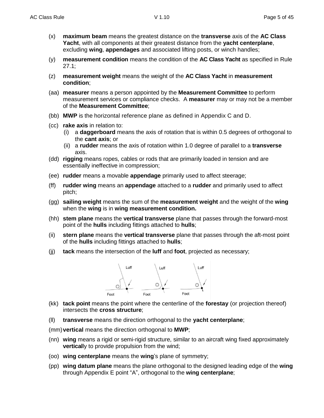- (x) **maximum beam** means the greatest distance on the **transverse** axis of the **AC Class Yacht**, with all components at their greatest distance from the **yacht centerplane**, excluding **wing**, **appendages** and associated lifting posts, or winch handles;
- (y) **measurement condition** means the condition of the **AC Class Yacht** as specified in Rule 27.1;
- (z) **measurement weight** means the weight of the **AC Class Yacht** in **measurement condition**;
- (aa) **measurer** means a person appointed by the **Measurement Committee** to perform measurement services or compliance checks. A **measurer** may or may not be a member of the **Measurement Committee**;
- (bb) **MWP** is the horizontal reference plane as defined in Appendix C and D.
- (cc) **rake axis** in relation to:
	- (i) a **daggerboard** means the axis of rotation that is within 0.5 degrees of orthogonal to the **cant axis**; or
	- (ii) a **rudder** means the axis of rotation within 1.0 degree of parallel to a **transverse** axis.
- (dd) **rigging** means ropes, cables or rods that are primarily loaded in tension and are essentially ineffective in compression;
- (ee) **rudder** means a movable **appendage** primarily used to affect steerage;
- (ff) **rudder wing** means an **appendage** attached to a **rudder** and primarily used to affect pitch;
- (gg) **sailing weight** means the sum of the **measurement weight** and the weight of the **wing** when the **wing** is in **wing measurement condition.**
- (hh) **stem plane** means the **vertical transverse** plane that passes through the forward-most point of the **hulls** including fittings attached to **hulls**;
- (ii) **stern plane** means the **vertical transverse** plane that passes through the aft-most point of the **hulls** including fittings attached to **hulls**;
- (jj) **tack** means the intersection of the **luff** and **foot**, projected as necessary;



- (kk) **tack point** means the point where the centerline of the **forestay** (or projection thereof) intersects the **cross structure**;
- (ll) **transverse** means the direction orthogonal to the **yacht centerplane**;
- (mm)**vertical** means the direction orthogonal to **MWP**;
- (nn) **wing** means a rigid or semi-rigid structure, similar to an aircraft wing fixed approximately **vertically** to provide propulsion from the wind;
- (oo) **wing centerplane** means the **wing**'s plane of symmetry;
- (pp) **wing datum plane** means the plane orthogonal to the designed leading edge of the **wing** through Appendix E point "A", orthogonal to the **wing centerplane**;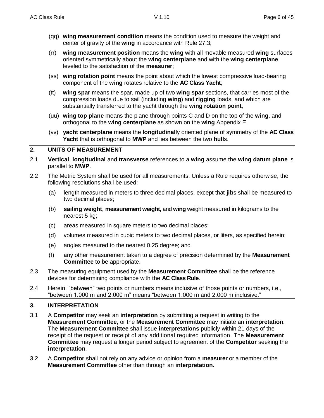- (qq) **wing measurement condition** means the condition used to measure the weight and center of gravity of the **wing** in accordance with Rule 27.3;
- (rr) **wing measurement position** means the **wing** with all movable measured **wing** surfaces oriented symmetrically about the **wing centerplane** and with the **wing centerplane** leveled to the satisfaction of the **measurer**;
- (ss) **wing rotation point** means the point about which the lowest compressive load-bearing component of the **wing** rotates relative to the **AC Class Yacht**;
- (tt) **wing spar** means the spar, made up of two **wing spar** sections, that carries most of the compression loads due to sail (including **wing**) and **rigging** loads, and which are substantially transferred to the yacht through the **wing rotation point**;
- (uu) **wing top plane** means the plane through points C and D on the top of the **wing**, and orthogonal to the **wing centerplane** as shown on the **wing** Appendix E
- (vv) **yacht centerplane** means the **longitudinal**ly oriented plane of symmetry of the **AC Class Yacht** that is orthogonal to **MWP** and lies between the two **hull**s.

## **2. UNITS OF MEASUREMENT**

- 2.1 **Vertical**, **longitudinal** and **transverse** references to a **wing** assume the **wing datum plane** is parallel to **MWP**.
- 2.2 The Metric System shall be used for all measurements. Unless a Rule requires otherwise, the following resolutions shall be used:
	- (a) length measured in meters to three decimal places, except that **jib**s shall be measured to two decimal places;
	- (b) **sailing weight**, **measurement weight,** and **wing** weight measured in kilograms to the nearest 5 kg;
	- (c) areas measured in square meters to two decimal places;
	- (d) volumes measured in cubic meters to two decimal places, or liters, as specified herein;
	- (e) angles measured to the nearest 0.25 degree; and
	- (f) any other measurement taken to a degree of precision determined by the **Measurement Committee** to be appropriate.
- 2.3 The measuring equipment used by the **Measurement Committee** shall be the reference devices for determining compliance with the **AC Class Rule**.
- 2.4 Herein, "between" two points or numbers means inclusive of those points or numbers, i.e., "between 1.000 m and 2.000 m" means "between 1.000 m and 2.000 m inclusive."

## **3. INTERPRETATION**

- 3.1 A **Competitor** may seek an **interpretation** by submitting a request in writing to the **Measurement Committee**, or the **Measurement Committee** may initiate an **interpretation**. The **Measurement Committee** shall issue **interpretations** publicly within 21 days of the receipt of the request or receipt of any additional required information. The **Measurement Committee** may request a longer period subject to agreement of the **Competitor** seeking the **interpretation**.
- 3.2 A **Competitor** shall not rely on any advice or opinion from a **measurer** or a member of the **Measurement Committee** other than through an **interpretation.**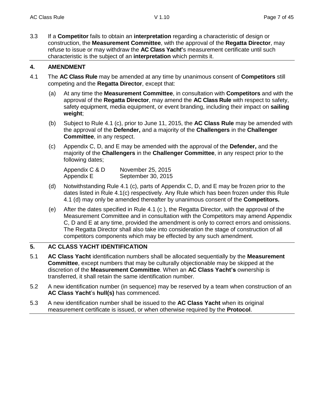3.3 If a **Competitor** fails to obtain an **interpretation** regarding a characteristic of design or construction, the **Measurement Committee**, with the approval of the **Regatta Director**, may refuse to issue or may withdraw the **AC Class Yacht'**s measurement certificate until such characteristic is the subject of an **interpretation** which permits it.

## **4. AMENDMENT**

- 4.1 The **AC Class Rule** may be amended at any time by unanimous consent of **Competitors** still competing and the **Regatta Director**, except that:
	- (a) At any time the **Measurement Committee**, in consultation with **Competitors** and with the approval of the **Regatta Director**, may amend the **AC Class Rule** with respect to safety, safety equipment, media equipment, or event branding, including their impact on **sailing weight**;
	- (b) Subject to Rule 4.1 (c), prior to June 11, 2015, the **AC Class Rule** may be amended with the approval of the **Defender,** and a majority of the **Challengers** in the **Challenger Committee**, in any respect.
	- (c) Appendix C, D, and E may be amended with the approval of the **Defender,** and the majority of the **Challengers** in the **Challenger Committee**, in any respect prior to the following dates;

| Appendix C & D | November 25, 2015  |
|----------------|--------------------|
| Appendix E     | September 30, 2015 |

- (d) Notwithstanding Rule 4.1 (c), parts of Appendix C, D, and E may be frozen prior to the dates listed in Rule 4.1(c) respectively. Any Rule which has been frozen under this Rule 4.1 (d) may only be amended thereafter by unanimous consent of the **Competitors.**
- (e) After the dates specified in Rule 4.1 (c ), the Regatta Director, with the approval of the Measurement Committee and in consultation with the Competitors may amend Appendix C, D and E at any time, provided the amendment is only to correct errors and omissions. The Regatta Director shall also take into consideration the stage of construction of all competitors components which may be effected by any such amendment.

## **5. AC CLASS YACHT IDENTIFICATION**

- 5.1 **AC Class Yacht** identification numbers shall be allocated sequentially by the **Measurement Committee**, except numbers that may be culturally objectionable may be skipped at the discretion of the **Measurement Committee**. When an **AC Class Yacht's** ownership is transferred, it shall retain the same identification number.
- 5.2 A new identification number (in sequence) may be reserved by a team when construction of an **AC Class Yacht**'s **hull(s)** has commenced.
- 5.3 A new identification number shall be issued to the **AC Class Yacht** when its original measurement certificate is issued, or when otherwise required by the **Protocol**.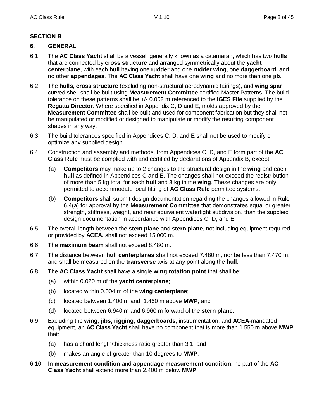## **SECTION B**

## **6. GENERAL**

- 6.1 The **AC Class Yacht** shall be a vessel, generally known as a catamaran, which has two **hulls** that are connected by **cross structure** and arranged symmetrically about the **yacht centerplane**, with each **hull** having one **rudder** and one **rudder wing**, one **daggerboard**, and no other **appendages**. The **AC Class Yacht** shall have one **wing** and no more than one **jib**.
- 6.2 The **hulls**, **cross structure** (excluding non-structural aerodynamic fairings), and **wing spar** curved shell shall be built using **Measurement Committee** certified Master Patterns. The build tolerance on these patterns shall be +/- 0.002 m referenced to the **IGES File** supplied by the **Regatta Director**. Where specified in Appendix C, D and E, molds approved by the **Measurement Committee** shall be built and used for component fabrication but they shall not be manipulated or modified or designed to manipulate or modify the resulting component shapes in any way.
- 6.3 The build tolerances specified in Appendices C, D, and E shall not be used to modify or optimize any supplied design.
- 6.4 Construction and assembly and methods, from Appendices C, D, and E form part of the **AC Class Rule** must be complied with and certified by declarations of Appendix B, except:
	- (a) **Competitors** may make up to 2 changes to the structural design in the **wing** and each **hull** as defined in Appendices C and E. The changes shall not exceed the redistribution of more than 5 kg total for each **hull** and 3 kg in the **wing**. These changes are only permitted to accommodate local fitting of **AC Class Rule** permitted systems.
	- (b) **Competitors** shall submit design documentation regarding the changes allowed in Rule 6.4(a) for approval by the **Measurement Committee** that demonstrates equal or greater strength, stiffness, weight, and near equivalent watertight subdivision, than the supplied design documentation in accordance with Appendices C, D, and E.
- 6.5 The overall length between the **stem plane** and **stern plane**, not including equipment required or provided by **ACEA,** shall not exceed 15.000 m.
- 6.6 The **maximum beam** shall not exceed 8.480 m.
- 6.7 The distance between **hull centerplanes** shall not exceed 7.480 m, nor be less than 7.470 m, and shall be measured on the **transverse** axis at any point along the **hull**.
- 6.8 The **AC Class Yacht** shall have a single **wing rotation point** that shall be:
	- (a) within 0.020 m of the **yacht centerplane**;
	- (b) located within 0.004 m of the **wing centerplane**;
	- (c) located between 1.400 m and 1.450 m above **MWP**; and
	- (d) located between 6.940 m and 6.960 m forward of the **stern plane**.
- 6.9 Excluding the **wing**, **jibs, rigging**, **daggerboards**, instrumentation, and **ACEA**-mandated equipment, an **AC Class Yacht** shall have no component that is more than 1.550 m above **MWP** that:
	- (a) has a chord length/thickness ratio greater than 3:1; and
	- (b) makes an angle of greater than 10 degrees to **MWP**.
- 6.10 In **measurement condition** and **appendage measurement condition**, no part of the **AC Class Yacht** shall extend more than 2.400 m below **MWP**.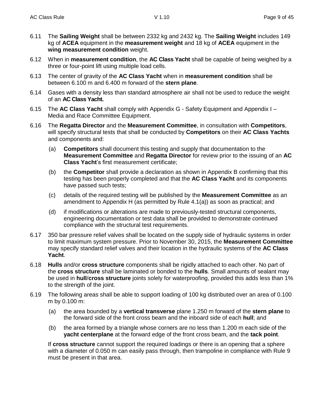- 6.11 The **Sailing Weight** shall be between 2332 kg and 2432 kg. The **Sailing Weight** includes 149 kg of **ACEA** equipment in the **measurement weight** and 18 kg of **ACEA** equipment in the **wing measurement condition** weight.
- 6.12 When in **measurement condition**, the **AC Class Yacht** shall be capable of being weighed by a three or four-point lift using multiple load cells.
- 6.13 The center of gravity of the **AC Class Yacht** when in **measurement condition** shall be between 6.100 m and 6.400 m forward of the **stern plane**.
- 6.14 Gases with a density less than standard atmosphere air shall not be used to reduce the weight of an **AC Class Yacht.**
- 6.15 The **AC Class Yacht** shall comply with Appendix G Safety Equipment and Appendix I Media and Race Committee Equipment.
- 6.16 The **Regatta Director** and the **Measurement Committee**, in consultation with **Competitors**, will specify structural tests that shall be conducted by **Competitors** on their **AC Class Yachts** and components and:
	- (a) **Competitors** shall document this testing and supply that documentation to the **Measurement Committee** and **Regatta Director** for review prior to the issuing of an **AC Class Yacht**'s first measurement certificate;
	- (b) the **Competitor** shall provide a declaration as shown in Appendix B confirming that this testing has been properly completed and that the **AC Class Yacht** and its components have passed such tests;
	- (c) details of the required testing will be published by the **Measurement Committee** as an amendment to Appendix H (as permitted by Rule 4.1(a)) as soon as practical; and
	- (d) if modifications or alterations are made to previously-tested structural components, engineering documentation or test data shall be provided to demonstrate continued compliance with the structural test requirements.
- 6.17 350 bar pressure relief valves shall be located on the supply side of hydraulic systems in order to limit maximum system pressure. Prior to November 30, 2015, the **Measurement Committee** may specify standard relief valves and their location in the hydraulic systems of the **AC Class Yacht**.
- 6.18 **Hulls** and/or **cross structure** components shall be rigidly attached to each other. No part of the **cross structure** shall be laminated or bonded to the **hulls**. Small amounts of sealant may be used in **hull**/**cross structure** joints solely for waterproofing, provided this adds less than 1% to the strength of the joint.
- 6.19 The following areas shall be able to support loading of 100 kg distributed over an area of 0.100 m by 0.100 m:
	- (a) the area bounded by a **vertical transverse** plane 1.250 m forward of the **stern plane** to the forward side of the front cross beam and the inboard side of each **hull**; and
	- (b) the area formed by a triangle whose corners are no less than 1.200 m each side of the **yacht centerplane** at the forward edge of the front cross beam, and the **tack point**.

If **cross structure** cannot support the required loadings or there is an opening that a sphere with a diameter of 0.050 m can easily pass through, then trampoline in compliance with Rule 9 must be present in that area.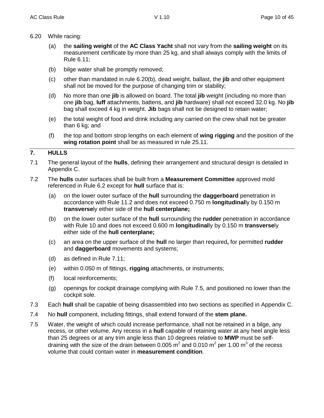- 6.20 While racing:
	- (a) the **sailing weight** of the **AC Class Yacht** shall not vary from the **sailing weight** on its measurement certificate by more than 25 kg, and shall always comply with the limits of Rule 6.11;
	- (b) bilge water shall be promptly removed;
	- (c) other than mandated in rule 6.20(b), dead weight, ballast, the **jib** and other equipment shall not be moved for the purpose of changing trim or stability;
	- (d) No more than one **jib** is allowed on board. The total **jib** weight (including no more than one **jib** bag, **luff** attachments, battens, and **jib** hardware) shall not exceed 32.0 kg. No **jib** bag shall exceed 4 kg in weight. **Jib** bags shall not be designed to retain water;
	- (e) the total weight of food and drink including any carried on the crew shall not be greater than 6 kg; and
	- (f) the top and bottom strop lengths on each element of **wing rigging** and the position of the **wing rotation point** shall be as measured in rule 25.11.

## **7. HULLS**

- 7.1 The general layout of the **hulls**, defining their arrangement and structural design is detailed in Appendix C.
- 7.2 The **hulls** outer surfaces shall be built from a **Measurement Committee** approved mold referenced in Rule 6.2 except for **hull** surface that is:
	- (a) on the lower outer surface of the **hull** surrounding the **daggerboard** penetration in accordance with Rule 11.2 and does not exceed 0.750 m **longitudinal**ly by 0.150 m **transverse**ly either side of the **hull centerplane;**
	- (b) on the lower outer surface of the **hull** surrounding the **rudder** penetration in accordance with Rule 10 and does not exceed 0.600 m **longitudinal**ly by 0.150 m **transverse**ly either side of the **hull centerplane;**
	- (c) an area on the upper surface of the **hull** no larger than required**,** for permitted **rudder** and **daggerboard** movements and systems;
	- (d) as defined in Rule 7.11;
	- (e) within 0.050 m of fittings, **rigging** attachments, or instruments;
	- (f) local reinforcements;
	- (g) openings for cockpit drainage complying with Rule 7.5, and positioned no lower than the cockpit sole.
- 7.3 Each **hull** shall be capable of being disassembled into two sections as specified in Appendix C.
- 7.4 No **hull** component, including fittings, shall extend forward of the **stem plane.**
- 7.5 Water, the weight of which could increase performance, shall not be retained in a bilge, any recess, or other volume. Any recess in a **hull** capable of retaining water at any heel angle less than 25 degrees or at any trim angle less than 10 degrees relative to **MWP** must be selfdraining with the size of the drain between 0.005 m<sup>2</sup> and 0.010 m<sup>2</sup> per 1.00 m<sup>3</sup> of the recess volume that could contain water in **measurement condition**.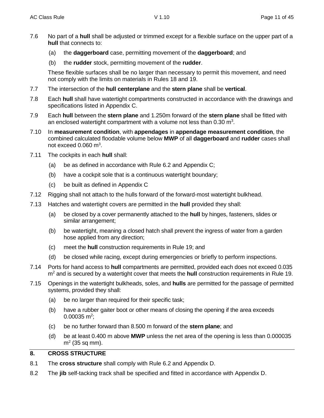- 7.6 No part of a **hull** shall be adjusted or trimmed except for a flexible surface on the upper part of a **hull** that connects to:
	- (a) the **daggerboard** case, permitting movement of the **daggerboard**; and
	- (b) the **rudder** stock, permitting movement of the **rudder**.

These flexible surfaces shall be no larger than necessary to permit this movement, and need not comply with the limits on materials in Rules 18 and 19.

- 7.7 The intersection of the **hull centerplane** and the **stern plane** shall be **vertical**.
- 7.8 Each **hull** shall have watertight compartments constructed in accordance with the drawings and specifications listed in Appendix C.
- 7.9 Each **hull** between the **stern plane** and 1.250m forward of the **stern plane** shall be fitted with an enclosed watertight compartment with a volume not less than  $0.30 \text{ m}^3$ .
- 7.10 In **measurement condition**, with **appendages** in **appendage measurement condition**, the combined calculated floodable volume below **MWP** of all **daggerboard** and **rudder** cases shall not exceed  $0.060$  m<sup>3</sup>.
- 7.11 The cockpits in each **hull** shall:
	- (a) be as defined in accordance with Rule 6.2 and Appendix C;
	- (b) have a cockpit sole that is a continuous watertight boundary;
	- (c) be built as defined in Appendix C
- 7.12 Rigging shall not attach to the hulls forward of the forward-most watertight bulkhead.
- 7.13 Hatches and watertight covers are permitted in the **hull** provided they shall:
	- (a) be closed by a cover permanently attached to the **hull** by hinges, fasteners, slides or similar arrangement;
	- (b) be watertight, meaning a closed hatch shall prevent the ingress of water from a garden hose applied from any direction;
	- (c) meet the **hull** construction requirements in Rule 19; and
	- (d) be closed while racing, except during emergencies or briefly to perform inspections.
- 7.14 Ports for hand access to **hull** compartments are permitted, provided each does not exceed 0.035 m<sup>2</sup> and is secured by a watertight cover that meets the **hull** construction requirements in Rule 19.
- 7.15 Openings in the watertight bulkheads, soles, and **hulls** are permitted for the passage of permitted systems, provided they shall:
	- (a) be no larger than required for their specific task;
	- (b) have a rubber gaiter boot or other means of closing the opening if the area exceeds  $0.00035$  m<sup>2</sup>;
	- (c) be no further forward than 8.500 m forward of the **stern plane**; and
	- (d) be at least 0.400 m above **MWP** unless the net area of the opening is less than 0.000035  $m<sup>2</sup>$  (35 sq mm).

## **8. CROSS STRUCTURE**

- 8.1 The **cross structure** shall comply with Rule 6.2 and Appendix D.
- 8.2 The **jib** self-tacking track shall be specified and fitted in accordance with Appendix D.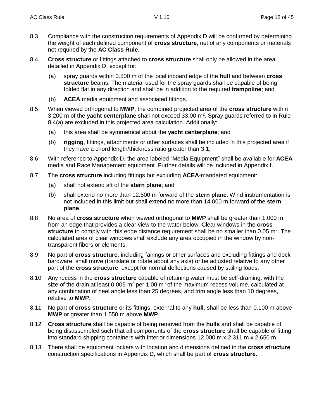- 8.3 Compliance with the construction requirements of Appendix D will be confirmed by determining the weight of each defined component of **cross structure**, net of any components or materials not required by the **AC Class Rule**.
- 8.4 **Cross structure** or fittings attached to **cross structure** shall only be allowed in the area detailed in Appendix D, except for:
	- (a) spray guards within 0.500 m of the local inboard edge of the **hull** and between **cross structure** beams. The material used for the spray guards shall be capable of being folded flat in any direction and shall be in addition to the required **trampoline**; and
	- (b) **ACEA** media equipment and associated fittings.
- 8.5 When viewed orthogonal to **MWP**, the combined projected area of the **cross structure** within 3.200 m of the yacht centerplane shall not exceed 33.00 m<sup>2</sup>. Spray guards referred to in Rule 8.4(a) are excluded in this projected area calculation. Additionally:
	- (a) this area shall be symmetrical about the **yacht centerplane**; and
	- (b) **rigging**, fittings, attachments or other surfaces shall be included in this projected area if they have a chord length/thickness ratio greater than 3:1;
- 8.6 With reference to Appendix D, the area labeled "Media Equipment" shall be available for **ACEA** media and Race Management equipment. Further details will be included in Appendix I.
- 8.7 The **cross structure** including fittings but excluding **ACEA**-mandated equipment:
	- (a) shall not extend aft of the **stern plane**; and
	- (b) shall extend no more than 12.500 m forward of the **stern plane**. Wind instrumentation is not included in this limit but shall extend no more than 14.000 m forward of the **stern plane**.
- 8.8 No area of **cross structure** when viewed orthogonal to **MWP** shall be greater than 1.000 m from an edge that provides a clear view to the water below. Clear windows in the **cross**  structure to comply with this edge distance requirement shall be no smaller than 0.05 m<sup>2</sup>. The calculated area of clear windows shall exclude any area occupied in the window by nontransparent fibers or elements.
- 8.9 No part of **cross structure**, including fairings or other surfaces and excluding fittings and deck hardware, shall move (translate or rotate about any axis) or be adjusted relative to any other part of the **cross structure**, except for normal deflections caused by sailing loads.
- 8.10 Any recess in the **cross structure** capable of retaining water must be self-draining, with the size of the drain at least 0.005  $m^2$  per 1.00  $m^3$  of the maximum recess volume, calculated at any combination of heel angle less than 25 degrees, and trim angle less than 10 degrees, relative to **MWP**.
- 8.11 No part of **cross structure** or its fittings, external to any **hull**, shall be less than 0.100 m above **MWP** or greater than 1.550 m above **MWP**.
- 8.12 **Cross structure** shall be capable of being removed from the **hulls** and shall be capable of being disassembled such that all components of the **cross structure** shall be capable of fitting into standard shipping containers with interior dimensions 12.000 m x 2.311 m x 2.650 m.
- 8.13 There shall be equipment lockers with location and dimensions defined in the **cross structure**  construction specifications in Appendix D, which shall be part of **cross structure.**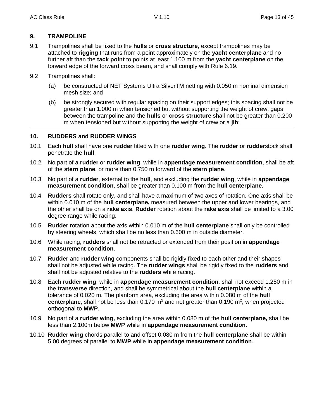## **9. TRAMPOLINE**

- 9.1 Trampolines shall be fixed to the **hulls** or **cross structure**, except trampolines may be attached to **rigging** that runs from a point approximately on the **yacht centerplane** and no further aft than the **tack point** to points at least 1.100 m from the **yacht centerplane** on the forward edge of the forward cross beam, and shall comply with Rule 6.19.
- 9.2 Trampolines shall:
	- (a) be constructed of NET Systems Ultra SilverTM netting with 0.050 m nominal dimension mesh size; and
	- (b) be strongly secured with regular spacing on their support edges; this spacing shall not be greater than 1.000 m when tensioned but without supporting the weight of crew; gaps between the trampoline and the **hulls** or **cross structure** shall not be greater than 0.200 m when tensioned but without supporting the weight of crew or a **jib**;

## **10. RUDDERS and RUDDER WINGS**

- 10.1 Each **hull** shall have one **rudder** fitted with one **rudder wing**. The **rudder** or **rudder**stock shall penetrate the **hull**.
- 10.2 No part of a **rudder** or **rudder wing**, while in **appendage measurement condition**, shall be aft of the **stern plane**, or more than 0.750 m forward of the **stern plane**.
- 10.3 No part of a **rudder**, external to the **hull**, and excluding the **rudder wing**, while in **appendage measurement condition**, shall be greater than 0.100 m from the **hull centerplane**.
- 10.4 **Rudders** shall rotate only, and shall have a maximum of two axes of rotation. One axis shall be within 0.010 m of the **hull centerplane,** measured between the upper and lower bearings, and the other shall be on a **rake axis**. **Rudder** rotation about the **rake axis** shall be limited to a 3.00 degree range while racing.
- 10.5 **Rudder** rotation about the axis within 0.010 m of the **hull centerplane** shall only be controlled by steering wheels, which shall be no less than 0.600 m in outside diameter.
- 10.6 While racing, **rudders** shall not be retracted or extended from their position in **appendage measurement condition**.
- 10.7 **Rudder** and **rudder wing** components shall be rigidly fixed to each other and their shapes shall not be adjusted while racing. The **rudder wings** shall be rigidly fixed to the **rudders** and shall not be adjusted relative to the **rudders** while racing.
- 10.8 Each **rudder wing**, while in **appendage measurement condition**, shall not exceed 1.250 m in the **transverse** direction, and shall be symmetrical about the **hull centerplane** within a tolerance of 0.020 m. The planform area, excluding the area within 0.080 m of the **hull**  centerplane, shall not be less than 0.170 m<sup>2</sup> and not greater than 0.190 m<sup>2</sup>, when projected orthogonal to **MWP**.
- 10.9 No part of a **rudder wing,** excluding the area within 0.080 m of the **hull centerplane,** shall be less than 2.100m below **MWP** while in **appendage measurement condition**.
- 10.10 **Rudder wing** chords parallel to and offset 0.080 m from the **hull centerplane** shall be within 5.00 degrees of parallel to **MWP** while in **appendage measurement condition**.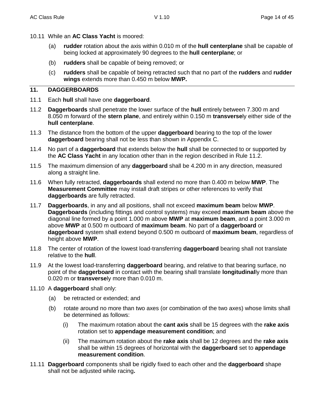- 10.11 While an **AC Class Yacht** is moored:
	- (a) **rudder** rotation about the axis within 0.010 m of the **hull centerplane** shall be capable of being locked at approximately 90 degrees to the **hull centerplane**; or
	- (b) **rudders** shall be capable of being removed; or
	- (c) **rudders** shall be capable of being retracted such that no part of the **rudders** and **rudder wings** extends more than 0.450 m below **MWP.**

## **11. DAGGERBOARDS**

- 11.1 Each **hull** shall have one **daggerboard**.
- 11.2 **Daggerboards** shall penetrate the lower surface of the **hull** entirely between 7.300 m and 8.050 m forward of the **stern plane**, and entirely within 0.150 m **transverse**ly either side of the **hull centerplane**.
- 11.3 The distance from the bottom of the upper **daggerboard** bearing to the top of the lower **daggerboard** bearing shall not be less than shown in Appendix C.
- 11.4 No part of a **daggerboard** that extends below the **hull** shall be connected to or supported by the **AC Class Yacht** in any location other than in the region described in Rule 11.2.
- 11.5 The maximum dimension of any **daggerboard** shall be 4.200 m in any direction, measured along a straight line.
- 11.6 When fully retracted, **daggerboards** shall extend no more than 0.400 m below **MWP**. The **Measurement Committee** may install draft stripes or other references to verify that **daggerboards** are fully retracted.
- 11.7 **Daggerboards**, in any and all positions, shall not exceed **maximum beam** below **MWP**. **Daggerboards** (including fittings and control systems) may exceed **maximum beam** above the diagonal line formed by a point 1.000 m above **MWP** at **maximum beam**, and a point 3.000 m above **MWP** at 0.500 m outboard of **maximum beam**. No part of a **daggerboard** or **daggerboard** system shall extend beyond 0.500 m outboard of **maximum beam**, regardless of height above **MWP**.
- 11.8 The center of rotation of the lowest load-transferring **daggerboard** bearing shall not translate relative to the **hull**.
- 11.9 At the lowest load-transferring **daggerboard** bearing, and relative to that bearing surface, no point of the **daggerboard** in contact with the bearing shall translate **longitudinal**ly more than 0.020 m or **transverse**ly more than 0.010 m.
- 11.10 A **daggerboard** shall only:
	- (a) be retracted or extended; and
	- (b) rotate around no more than two axes (or combination of the two axes) whose limits shall be determined as follows:
		- (i) The maximum rotation about the **cant axis** shall be 15 degrees with the **rake axis** rotation set to **appendage measurement condition**; and
		- (ii) The maximum rotation about the **rake axis** shall be 12 degrees and the **rake axis** shall be within 15 degrees of horizontal with the **daggerboard** set to **appendage measurement condition**.
- 11.11 **Daggerboard** components shall be rigidly fixed to each other and the **daggerboard** shape shall not be adjusted while racing**.**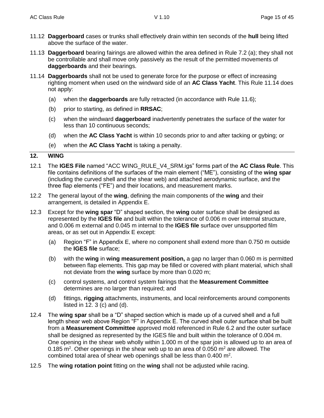- 11.12 **Daggerboard** cases or trunks shall effectively drain within ten seconds of the **hull** being lifted above the surface of the water.
- 11.13 **Daggerboard** bearing fairings are allowed within the area defined in Rule 7.2 (a); they shall not be controllable and shall move only passively as the result of the permitted movements of **daggerboards** and their bearings.
- 11.14 **Daggerboards** shall not be used to generate force for the purpose or effect of increasing righting moment when used on the windward side of an **AC Class Yacht**. This Rule 11.14 does not apply:
	- (a) when the **daggerboards** are fully retracted (in accordance with Rule 11.6);
	- (b) prior to starting, as defined in **RRSAC**;
	- (c) when the windward **daggerboard** inadvertently penetrates the surface of the water for less than 10 continuous seconds;
	- (d) when the **AC Class Yacht** is within 10 seconds prior to and after tacking or gybing; or
	- (e) when the **AC Class Yacht** is taking a penalty.

#### **12. WING**

- 12.1 The **IGES File** named "ACC WING\_RULE\_V4\_SRM.igs" forms part of the **AC Class Rule**. This file contains definitions of the surfaces of the main element ("ME"), consisting of the **wing spar**  (including the curved shell and the shear web) and attached aerodynamic surface, and the three flap elements ("FE") and their locations, and measurement marks.
- 12.2 The general layout of the **wing**, defining the main components of the **wing** and their arrangement, is detailed in Appendix E.
- 12.3 Except for the **wing spar** "D" shaped section, the **wing** outer surface shall be designed as represented by the **IGES file** and built within the tolerance of 0.006 m over internal structure, and 0.006 m external and 0.045 m internal to the **IGES file** surface over unsupported film areas, or as set out in Appendix E except:
	- (a) Region "F" in Appendix E, where no component shall extend more than 0.750 m outside the **IGES file** surface;
	- (b) with the **wing** in **wing measurement position,** a gap no larger than 0.060 m is permitted between flap elements. This gap may be filled or covered with pliant material, which shall not deviate from the **wing** surface by more than 0.020 m;
	- (c) control systems, and control system fairings that the **Measurement Committee** determines are no larger than required; and
	- (d) fittings, **rigging** attachments, instruments, and local reinforcements around components listed in 12. 3 (c) and (d).
- 12.4 The **wing spar** shall be a "D" shaped section which is made up of a curved shell and a full length shear web above Region "F" in Appendix E. The curved shell outer surface shall be built from a **Measurement Committee** approved mold referenced in Rule 6.2 and the outer surface shall be designed as represented by the IGES file and built within the tolerance of 0.004 m. One opening in the shear web wholly within 1.000 m of the spar join is allowed up to an area of 0.185 m<sup>2</sup>. Other openings in the shear web up to an area of 0.050 m<sup>2</sup> are allowed. The combined total area of shear web openings shall be less than  $0.400$  m<sup>2</sup>.
- 12.5 The **wing rotation point** fitting on the **wing** shall not be adjusted while racing.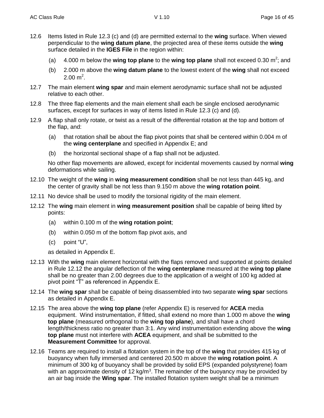- 12.6 Items listed in Rule 12.3 (c) and (d) are permitted external to the **wing** surface. When viewed perpendicular to the wing datum plane, the projected area of these items outside the **wing** surface detailed in the **IGES File** in the region within:
	- (a) 4.000 m below the **wing top plane** to the wing top plane shall not exceed 0.30 m<sup>2</sup>; and
	- (b) 2.000 m above the **wing datum plane** to the lowest extent of the **wing** shall not exceed  $2.00 \text{ m}^2$ .
- 12.7 The main element **wing spar** and main element aerodynamic surface shall not be adjusted relative to each other.
- 12.8 The three flap elements and the main element shall each be single enclosed aerodynamic surfaces, except for surfaces in way of items listed in Rule 12.3 (c) and (d).
- 12.9 A flap shall only rotate, or twist as a result of the differential rotation at the top and bottom of the flap, and:
	- (a) that rotation shall be about the flap pivot points that shall be centered within 0.004 m of the **wing centerplane** and specified in Appendix E; and
	- (b) the horizontal sectional shape of a flap shall not be adjusted.

No other flap movements are allowed, except for incidental movements caused by normal **wing** deformations while sailing.

- 12.10 The weight of the **wing** in **wing measurement condition** shall be not less than 445 kg, and the center of gravity shall be not less than 9.150 m above the **wing rotation point**.
- 12.11 No device shall be used to modify the torsional rigidity of the main element.
- 12.12 The **wing** main element in **wing measurement position** shall be capable of being lifted by points:
	- (a) within 0.100 m of the **wing rotation point**;
	- (b) within 0.050 m of the bottom flap pivot axis, and
	- (c) point "U",

as detailed in Appendix E.

- 12.13 With the **wing** main element horizontal with the flaps removed and supported at points detailed in Rule 12.12 the angular deflection of the **wing centerplane** measured at the **wing top plane** shall be no greater than 2.00 degrees due to the application of a weight of 100 kg added at pivot point "T" as referenced in Appendix E.
- 12.14 The **wing spar** shall be capable of being disassembled into two separate **wing spar** sections as detailed in Appendix E.
- 12.15 The area above the **wing top plane** (refer Appendix E) is reserved for **ACEA** media equipment. Wind instrumentation, if fitted, shall extend no more than 1.000 m above the **wing top plane** (measured orthogonal to the **wing top plane**), and shall have a chord length/thickness ratio no greater than 3:1. Any wind instrumentation extending above the **wing top plane** must not interfere with **ACEA** equipment, and shall be submitted to the **Measurement Committee** for approval.
- 12.16 Teams are required to install a flotation system in the top of the **wing** that provides 415 kg of buoyancy when fully immersed and centered 20.500 m above the **wing rotation point**. A minimum of 300 kg of buoyancy shall be provided by solid EPS (expanded polystyrene) foam with an approximate density of 12 kg/m<sup>3</sup>. The remainder of the buoyancy may be provided by an air bag inside the **Wing spar**. The installed flotation system weight shall be a minimum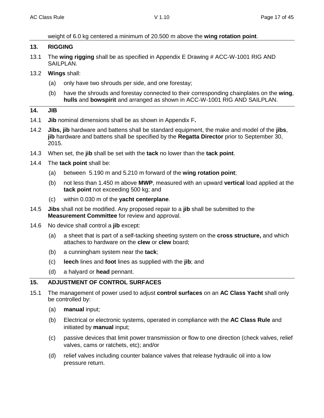weight of 6.0 kg centered a minimum of 20.500 m above the **wing rotation point**.

## **13. RIGGING**

- 13.1 The **wing rigging** shall be as specified in Appendix E Drawing # ACC-W-1001 RIG AND SAILPLAN.
- 13.2 **Wings** shall:
	- (a) only have two shrouds per side, and one forestay;
	- (b) have the shrouds and forestay connected to their corresponding chainplates on the **wing**, **hulls** and **bowspirit** and arranged as shown in ACC-W-1001 RIG AND SAILPLAN.

## **14. JIB**

- 14.1 **Jib** nominal dimensions shall be as shown in Appendix F**.**
- 14.2 **Jibs, jib** hardware and battens shall be standard equipment, the make and model of the **jibs**, **jib** hardware and battens shall be specified by the **Regatta Director** prior to September 30, 2015.
- 14.3 When set, the **jib** shall be set with the **tack** no lower than the **tack point**.
- 14.4 The **tack point** shall be:
	- (a) between 5.190 m and 5.210 m forward of the **wing rotation point**;
	- (b) not less than 1.450 m above **MWP**, measured with an upward **vertical** load applied at the **tack point** not exceeding 500 kg; and
	- (c) within 0.030 m of the **yacht centerplane**.
- 14.5 **Jibs** shall not be modified. Any proposed repair to a **jib** shall be submitted to the **Measurement Committee** for review and approval.
- 14.6 No device shall control a **jib** except:
	- (a) a sheet that is part of a self-tacking sheeting system on the **cross structure,** and which attaches to hardware on the **clew** or **clew** board;
	- (b) a cunningham system near the **tack**;
	- (c) **leech** lines and **foot** lines as supplied with the **jib**; and
	- (d) a halyard or **head** pennant.

## **15. ADJUSTMENT OF CONTROL SURFACES**

- 15.1 The management of power used to adjust **control surfaces** on an **AC Class Yacht** shall only be controlled by:
	- (a) **manual** input;
	- (b) Electrical or electronic systems, operated in compliance with the **AC Class Rule** and initiated by **manual** input;
	- (c) passive devices that limit power transmission or flow to one direction (check valves, relief valves, cams or ratchets, etc); and/or
	- (d) relief valves including counter balance valves that release hydraulic oil into a low pressure return.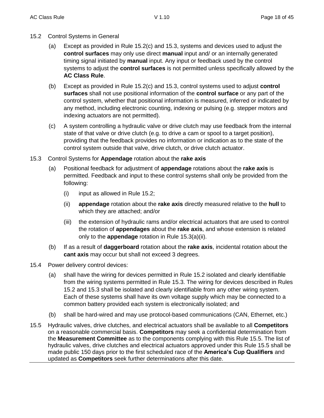- 15.2 Control Systems in General
	- (a) Except as provided in Rule 15.2(c) and 15.3, systems and devices used to adjust the **control surfaces** may only use direct **manual** input and/ or an internally generated timing signal initiated by **manual** input. Any input or feedback used by the control systems to adjust the **control surfaces** is not permitted unless specifically allowed by the **AC Class Rule**.
	- (b) Except as provided in Rule 15.2(c) and 15.3, control systems used to adjust **control surfaces** shall not use positional information of the **control surface** or any part of the control system, whether that positional information is measured, inferred or indicated by any method, including electronic counting, indexing or pulsing (e.g. stepper motors and indexing actuators are not permitted).
	- (c) A system controlling a hydraulic valve or drive clutch may use feedback from the internal state of that valve or drive clutch (e.g. to drive a cam or spool to a target position), providing that the feedback provides no information or indication as to the state of the control system outside that valve, drive clutch, or drive clutch actuator.
- 15.3 Control Systems for **Appendage** rotation about the **rake axis**
	- (a) Positional feedback for adjustment of **appendage** rotations about the **rake axis** is permitted. Feedback and input to these control systems shall only be provided from the following:
		- (i) input as allowed in Rule 15.2;
		- (ii) **appendage** rotation about the **rake axis** directly measured relative to the **hull** to which they are attached; and/or
		- (iii) the extension of hydraulic rams and/or electrical actuators that are used to control the rotation of **appendages** about the **rake axis**, and whose extension is related only to the **appendage** rotation in Rule 15.3(a)(ii).
	- (b) If as a result of **daggerboard** rotation about the **rake axis**, incidental rotation about the **cant axis** may occur but shall not exceed 3 degrees.
- 15.4 Power delivery control devices:
	- (a) shall have the wiring for devices permitted in Rule 15.2 isolated and clearly identifiable from the wiring systems permitted in Rule 15.3. The wiring for devices described in Rules 15.2 and 15.3 shall be isolated and clearly identifiable from any other wiring system. Each of these systems shall have its own voltage supply which may be connected to a common battery provided each system is electronically isolated; and
	- (b) shall be hard-wired and may use protocol-based communications (CAN, Ethernet, etc.)
- 15.5 Hydraulic valves, drive clutches, and electrical actuators shall be available to all **Competitors** on a reasonable commercial basis. **Competitors** may seek a confidential determination from the **Measurement Committee** as to the components complying with this Rule 15.5. The list of hydraulic valves, drive clutches and electrical actuators approved under this Rule 15.5 shall be made public 150 days prior to the first scheduled race of the **America's Cup Qualifiers** and updated as **Competitors** seek further determinations after this date.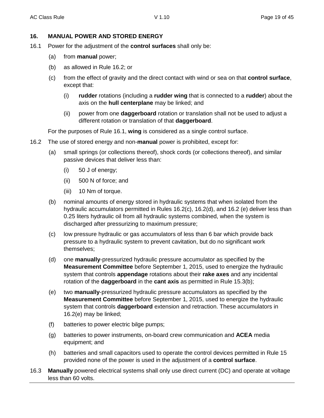## **16. MANUAL POWER AND STORED ENERGY**

- 16.1 Power for the adjustment of the **control surfaces** shall only be:
	- (a) from **manual** power;
	- (b) as allowed in Rule 16.2; or
	- (c) from the effect of gravity and the direct contact with wind or sea on that **control surface**, except that:
		- (i) **rudder** rotations (including a **rudder wing** that is connected to a **rudder**) about the axis on the **hull centerplane** may be linked; and
		- (ii) power from one **daggerboard** rotation or translation shall not be used to adjust a different rotation or translation of that **daggerboard**.

For the purposes of Rule 16.1, **wing** is considered as a single control surface.

- 16.2 The use of stored energy and non-**manual** power is prohibited, except for:
	- (a) small springs (or collections thereof), shock cords (or collections thereof), and similar passive devices that deliver less than:
		- (i) 50 J of energy;
		- (ii) 500 N of force; and
		- (iii) 10 Nm of torque.
	- (b) nominal amounts of energy stored in hydraulic systems that when isolated from the hydraulic accumulators permitted in Rules 16.2(c), 16.2(d), and 16.2 (e) deliver less than 0.25 liters hydraulic oil from all hydraulic systems combined, when the system is discharged after pressurizing to maximum pressure;
	- (c) low pressure hydraulic or gas accumulators of less than 6 bar which provide back pressure to a hydraulic system to prevent cavitation, but do no significant work themselves;
	- (d) one **manually**-pressurized hydraulic pressure accumulator as specified by the **Measurement Committee** before September 1, 2015, used to energize the hydraulic system that controls **appendage** rotations about their **rake axes** and any incidental rotation of the **daggerboard** in the **cant axis** as permitted in Rule 15.3(b);
	- (e) two **manually**-pressurized hydraulic pressure accumulators as specified by the **Measurement Committee** before September 1, 2015, used to energize the hydraulic system that controls **daggerboard** extension and retraction. These accumulators in 16.2(e) may be linked;
	- (f) batteries to power electric bilge pumps;
	- (g) batteries to power instruments, on-board crew communication and **ACEA** media equipment; and
	- (h) batteries and small capacitors used to operate the control devices permitted in Rule 15 provided none of the power is used in the adjustment of a **control surface**.
- 16.3 **Manually** powered electrical systems shall only use direct current (DC) and operate at voltage less than 60 volts.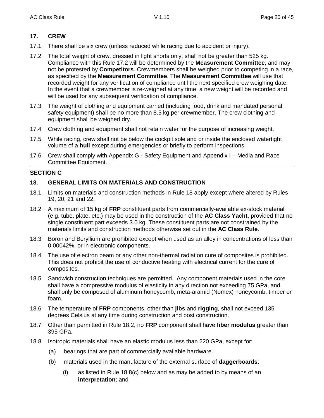## **17. CREW**

- 17.1 There shall be six crew (unless reduced while racing due to accident or injury).
- 17.2 The total weight of crew, dressed in light shorts only, shall not be greater than 525 kg. Compliance with this Rule 17.2 will be determined by the **Measurement Committee**, and may not be protested by **Competitors**. Crewmembers shall be weighed prior to competing in a race, as specified by the **Measurement Committee**. The **Measurement Committee** will use that recorded weight for any verification of compliance until the next specified crew weighing date. In the event that a crewmember is re-weighed at any time, a new weight will be recorded and will be used for any subsequent verification of compliance.
- 17.3 The weight of clothing and equipment carried (including food, drink and mandated personal safety equipment) shall be no more than 8.5 kg per crewmember. The crew clothing and equipment shall be weighed dry.
- 17.4 Crew clothing and equipment shall not retain water for the purpose of increasing weight.
- 17.5 While racing, crew shall not be below the cockpit sole and or inside the enclosed watertight volume of a **hull** except during emergencies or briefly to perform inspections.
- 17.6 Crew shall comply with Appendix G Safety Equipment and Appendix I Media and Race Committee Equipment.

## **SECTION C**

## **18. GENERAL LIMITS ON MATERIALS AND CONSTRUCTION**

- 18.1 Limits on materials and construction methods in Rule 18 apply except where altered by Rules 19, 20, 21 and 22.
- 18.2 A maximum of 15 kg of **FRP** constituent parts from commercially-available ex-stock material (e.g. tube, plate, etc.) may be used in the construction of the **AC Class Yacht**, provided that no single constituent part exceeds 3.0 kg. These constituent parts are not constrained by the materials limits and construction methods otherwise set out in the **AC Class Rule**.
- 18.3 Boron and Beryllium are prohibited except when used as an alloy in concentrations of less than 0.00042%, or in electronic components.
- 18.4 The use of electron beam or any other non-thermal radiation cure of composites is prohibited. This does not prohibit the use of conductive heating with electrical current for the cure of composites.
- 18.5 Sandwich construction techniques are permitted. Any component materials used in the core shall have a compressive modulus of elasticity in any direction not exceeding 75 GPa, and shall only be composed of aluminum honeycomb, meta-aramid (Nomex) honeycomb, timber or foam.
- 18.6 The temperature of **FRP** components, other than **jibs** and **rigging**, shall not exceed 135 degrees Celsius at any time during construction and post construction.
- 18.7 Other than permitted in Rule 18.2, no **FRP** component shall have **fiber modulus** greater than 395 GPa.
- 18.8 Isotropic materials shall have an elastic modulus less than 220 GPa, except for:
	- (a) bearings that are part of commercially available hardware.
	- (b) materials used in the manufacture of the external surface of **daggerboards**:
		- (i) as listed in Rule 18.8(c) below and as may be added to by means of an **interpretation**; and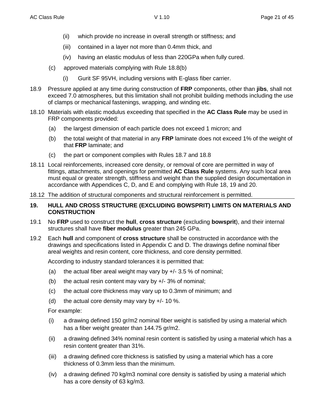- (ii) which provide no increase in overall strength or stiffness; and
- (iii) contained in a layer not more than 0.4mm thick, and
- (iv) having an elastic modulus of less than 220GPa when fully cured.
- (c) approved materials complying with Rule 18.8(b)
	- (i) Gurit SF 95VH, including versions with E-glass fiber carrier.
- 18.9 Pressure applied at any time during construction of **FRP** components, other than **jibs**, shall not exceed 7.0 atmospheres, but this limitation shall not prohibit building methods including the use of clamps or mechanical fastenings, wrapping, and winding etc.
- 18.10 Materials with elastic modulus exceeding that specified in the **AC Class Rule** may be used in FRP components provided:
	- (a) the largest dimension of each particle does not exceed 1 micron; and
	- (b) the total weight of that material in any **FRP** laminate does not exceed 1% of the weight of that **FRP** laminate; and
	- (c) the part or component complies with Rules 18.7 and 18.8
- 18.11 Local reinforcements, increased core density, or removal of core are permitted in way of fittings, attachments, and openings for permitted **AC Class Rule** systems. Any such local area must equal or greater strength, stiffness and weight than the supplied design documentation in accordance with Appendices C, D, and E and complying with Rule 18, 19 and 20.
- 18.12 The addition of structural components and structural reinforcement is permitted.

#### **19. HULL AND CROSS STRUCTURE (EXCLUDING BOWSPRIT) LIMITS ON MATERIALS AND CONSTRUCTION**

- 19.1 No **FRP** used to construct the **hull**, **cross structure** (excluding **bowsprit**), and their internal structures shall have **fiber modulus** greater than 245 GPa.
- 19.2 Each **hull** and component of **cross structure** shall be constructed in accordance with the drawings and specifications listed in Appendix C and D. The drawings define nominal fiber areal weights and resin content, core thickness, and core density permitted.

According to industry standard tolerances it is permitted that:

- (a) the actual fiber areal weight may vary by  $+/-$  3.5 % of nominal;
- (b) the actual resin content may vary by  $+/- 3\%$  of nominal;
- (c) the actual core thickness may vary up to 0.3mm of minimum; and
- (d) the actual core density may vary by  $+/- 10$  %.

For example:

- (i) a drawing defined 150 gr/m2 nominal fiber weight is satisfied by using a material which has a fiber weight greater than 144.75 gr/m2.
- (ii) a drawing defined 34% nominal resin content is satisfied by using a material which has a resin content greater than 31%.
- (iii) a drawing defined core thickness is satisfied by using a material which has a core thickness of 0.3mm less than the minimum.
- (iv) a drawing defined 70 kg/m3 nominal core density is satisfied by using a material which has a core density of 63 kg/m3.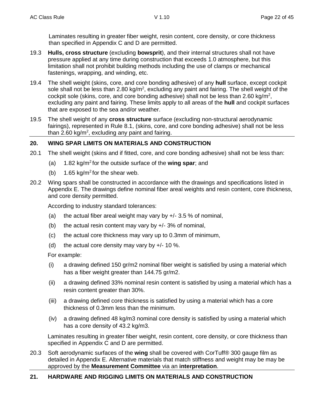Laminates resulting in greater fiber weight, resin content, core density, or core thickness than specified in Appendix C and D are permitted.

- 19.3 **Hulls, cross structure** (excluding **bowsprit**), and their internal structures shall not have pressure applied at any time during construction that exceeds 1.0 atmosphere, but this limitation shall not prohibit building methods including the use of clamps or mechanical fastenings, wrapping, and winding, etc.
- 19.4 The shell weight (skins, core, and core bonding adhesive) of any **hull** surface, except cockpit sole shall not be less than 2.80 kg/m<sup>2</sup>, excluding any paint and fairing. The shell weight of the cockpit sole (skins, core, and core bonding adhesive) shall not be less than 2.60 kg/m<sup>2</sup>, excluding any paint and fairing. These limits apply to all areas of the **hull** and cockpit surfaces that are exposed to the sea and/or weather.
- 19.5 The shell weight of any **cross structure** surface (excluding non-structural aerodynamic fairings), represented in Rule 8.1, (skins, core, and core bonding adhesive) shall not be less than 2.60 kg/m<sup>2</sup>, excluding any paint and fairing.

## **20. WING SPAR LIMITS ON MATERIALS AND CONSTRUCTION**

- 20.1 The shell weight (skins and if fitted, core, and core bonding adhesive) shall not be less than:
	- (a) 1.82 kg/m<sup>2</sup> for the outside surface of the **wing spar**; and
	- (b)  $1.65 \text{ kg/m}^2$  for the shear web.
- 20.2 Wing spars shall be constructed in accordance with the drawings and specifications listed in Appendix E. The drawings define nominal fiber areal weights and resin content, core thickness, and core density permitted.

According to industry standard tolerances:

- (a) the actual fiber areal weight may vary by  $+/-$  3.5 % of nominal,
- (b) the actual resin content may vary by  $+/- 3\%$  of nominal,
- (c) the actual core thickness may vary up to 0.3mm of minimum,
- (d) the actual core density may vary by  $+/- 10 \%$ .

For example:

- (i) a drawing defined 150 gr/m2 nominal fiber weight is satisfied by using a material which has a fiber weight greater than 144.75 gr/m2.
- (ii) a drawing defined 33% nominal resin content is satisfied by using a material which has a resin content greater than 30%.
- (iii) a drawing defined core thickness is satisfied by using a material which has a core thickness of 0.3mm less than the minimum.
- (iv) a drawing defined 48 kg/m3 nominal core density is satisfied by using a material which has a core density of 43.2 kg/m3.

Laminates resulting in greater fiber weight, resin content, core density, or core thickness than specified in Appendix C and D are permitted.

20.3 Soft aerodynamic surfaces of the **wing** shall be covered with CorTuff® 300 gauge film as detailed in Appendix E. Alternative materials that match stiffness and weight may be may be approved by the **Measurement Committee** via an **interpretation**.

## **21. HARDWARE AND RIGGING LIMITS ON MATERIALS AND CONSTRUCTION**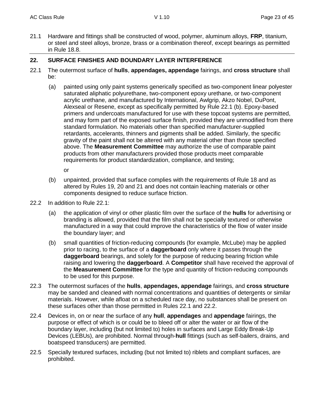21.1 Hardware and fittings shall be constructed of wood, polymer, aluminum alloys, **FRP**, titanium, or steel and steel alloys, bronze, brass or a combination thereof, except bearings as permitted in Rule 18.8.

## **22. SURFACE FINISHES AND BOUNDARY LAYER INTERFERENCE**

- 22.1 The outermost surface of **hulls**, **appendages, appendage** fairings, and **cross structure** shall be:
	- (a) painted using only paint systems generically specified as two-component linear polyester saturated aliphatic polyurethane, two-component epoxy urethane, or two-component acrylic urethane, and manufactured by International, Awlgrip, Akzo Nobel, DuPont, Alexseal or Resene, except as specifically permitted by Rule 22.1 (b). Epoxy-based primers and undercoats manufactured for use with these topcoat systems are permitted, and may form part of the exposed surface finish, provided they are unmodified from there standard formulation. No materials other than specified manufacturer-supplied retardants, accelerants, thinners and pigments shall be added. Similarly, the specific gravity of the paint shall not be altered with any material other than those specified above. The **Measurement Committee** may authorize the use of comparable paint products from other manufacturers provided those products meet comparable requirements for product standardization, compliance, and testing;

or

- (b) unpainted, provided that surface complies with the requirements of Rule 18 and as altered by Rules 19, 20 and 21 and does not contain leaching materials or other components designed to reduce surface friction.
- 22.2 In addition to Rule 22.1:
	- (a) the application of vinyl or other plastic film over the surface of the **hulls** for advertising or branding is allowed, provided that the film shall not be specially textured or otherwise manufactured in a way that could improve the characteristics of the flow of water inside the boundary layer; and
	- (b) small quantities of friction-reducing compounds (for example, McLube) may be applied prior to racing, to the surface of a **daggerboard** only where it passes through the **daggerboard** bearings, and solely for the purpose of reducing bearing friction while raising and lowering the **daggerboard**. A **Competitor** shall have received the approval of the **Measurement Committee** for the type and quantity of friction-reducing compounds to be used for this purpose.
- 22.3 The outermost surfaces of the **hulls**, **appendages, appendage** fairings, and **cross structure** may be sanded and cleaned with normal concentrations and quantities of detergents or similar materials. However, while afloat on a scheduled race day, no substances shall be present on these surfaces other than those permitted in Rules 22.1 and 22.2.
- 22.4 Devices in, on or near the surface of any **hull**, **appendages** and **appendage** fairings, the purpose or effect of which is or could be to bleed off or alter the water or air flow of the boundary layer, including (but not limited to) holes in surfaces and Large Eddy Break-Up Devices (LEBUs), are prohibited. Normal through-**hull** fittings (such as self-bailers, drains, and boatspeed transducers) are permitted.
- 22.5 Specially textured surfaces, including (but not limited to) riblets and compliant surfaces, are prohibited.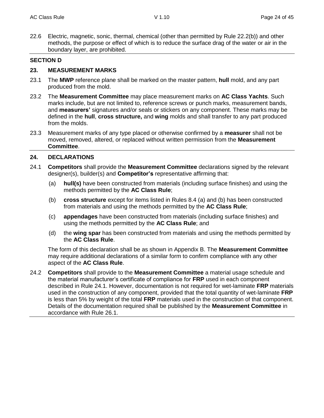22.6 Electric, magnetic, sonic, thermal, chemical (other than permitted by Rule 22.2(b)) and other methods, the purpose or effect of which is to reduce the surface drag of the water or air in the boundary layer, are prohibited.

#### **SECTION D**

#### **23. MEASUREMENT MARKS**

- 23.1 The **MWP** reference plane shall be marked on the master pattern, **hull** mold, and any part produced from the mold.
- 23.2 The **Measurement Committee** may place measurement marks on **AC Class Yachts**. Such marks include, but are not limited to, reference screws or punch marks, measurement bands, and **measurers'** signatures and/or seals or stickers on any component. These marks may be defined in the **hull**, **cross structure,** and **wing** molds and shall transfer to any part produced from the molds.
- 23.3 Measurement marks of any type placed or otherwise confirmed by a **measurer** shall not be moved, removed, altered, or replaced without written permission from the **Measurement Committee**.

## **24. DECLARATIONS**

- 24.1 **Competitors** shall provide the **Measurement Committee** declarations signed by the relevant designer(s), builder(s) and **Competitor's** representative affirming that:
	- (a) **hull(s)** have been constructed from materials (including surface finishes) and using the methods permitted by the **AC Class Rule**;
	- (b) **cross structure** except for items listed in Rules 8.4 (a) and (b) has been constructed from materials and using the methods permitted by the **AC Class Rule**;
	- (c) **appendages** have been constructed from materials (including surface finishes) and using the methods permitted by the **AC Class Rule**; and
	- (d) the **wing spar** has been constructed from materials and using the methods permitted by the **AC Class Rule**.

The form of this declaration shall be as shown in Appendix B. The **Measurement Committee** may require additional declarations of a similar form to confirm compliance with any other aspect of the **AC Class Rule**.

24.2 **Competitors** shall provide to the **Measurement Committee** a material usage schedule and the material manufacturer's certificate of compliance for **FRP** used in each component described in Rule 24.1. However, documentation is not required for wet-laminate **FRP** materials used in the construction of any component, provided that the total quantity of wet-laminate **FRP** is less than 5% by weight of the total **FRP** materials used in the construction of that component. Details of the documentation required shall be published by the **Measurement Committee** in accordance with Rule 26.1.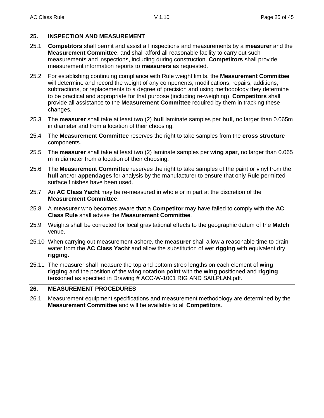## **25. INSPECTION AND MEASUREMENT**

- 25.1 **Competitors** shall permit and assist all inspections and measurements by a **measurer** and the **Measurement Committee**, and shall afford all reasonable facility to carry out such measurements and inspections, including during construction. **Competitors** shall provide measurement information reports to **measurers** as requested.
- 25.2 For establishing continuing compliance with Rule weight limits, the **Measurement Committee** will determine and record the weight of any components, modifications, repairs, additions, subtractions, or replacements to a degree of precision and using methodology they determine to be practical and appropriate for that purpose (including re-weighing). **Competitors** shall provide all assistance to the **Measurement Committee** required by them in tracking these changes.
- 25.3 The **measurer** shall take at least two (2) **hull** laminate samples per **hull**, no larger than 0.065m in diameter and from a location of their choosing.
- 25.4 The **Measurement Committee** reserves the right to take samples from the **cross structure** components.
- 25.5 The **measurer** shall take at least two (2) laminate samples per **wing spar**, no larger than 0.065 m in diameter from a location of their choosing.
- 25.6 The **Measurement Committee** reserves the right to take samples of the paint or vinyl from the **hull** and/or **appendages** for analysis by the manufacturer to ensure that only Rule permitted surface finishes have been used.
- 25.7 An **AC Class Yacht** may be re-measured in whole or in part at the discretion of the **Measurement Committee**.
- 25.8 A **measurer** who becomes aware that a **Competitor** may have failed to comply with the **AC Class Rule** shall advise the **Measurement Committee**.
- 25.9 Weights shall be corrected for local gravitational effects to the geographic datum of the **Match** venue.
- 25.10 When carrying out measurement ashore, the **measurer** shall allow a reasonable time to drain water from the **AC Class Yacht** and allow the substitution of wet **rigging** with equivalent dry **rigging**.
- 25.11 The measurer shall measure the top and bottom strop lengths on each element of **wing rigging** and the position of the **wing rotation point** with the **wing** positioned and **rigging** tensioned as specified in Drawing # ACC-W-1001 RIG AND SAILPLAN.pdf.

## **26. MEASUREMENT PROCEDURES**

26.1 Measurement equipment specifications and measurement methodology are determined by the **Measurement Committee** and will be available to all **Competitors**.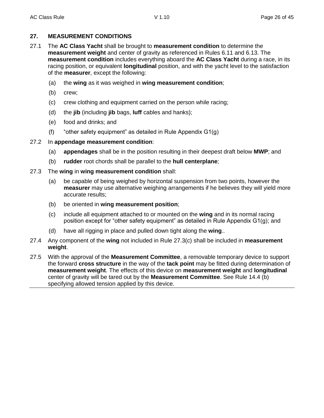## **27. MEASUREMENT CONDITIONS**

- 27.1 The **AC Class Yacht** shall be brought to **measurement condition** to determine the **measurement weight** and center of gravity as referenced in Rules 6.11 and 6.13. The **measurement condition** includes everything aboard the **AC Class Yacht** during a race, in its racing position, or equivalent **longitudinal** position, and with the yacht level to the satisfaction of the **measurer**, except the following:
	- (a) the **wing** as it was weighed in **wing measurement condition**;
	- (b) crew;
	- (c) crew clothing and equipment carried on the person while racing;
	- (d) the **jib** (including **jib** bags, **luff** cables and hanks);
	- (e) food and drinks; and
	- (f) "other safety equipment" as detailed in Rule Appendix G1(g)

## 27.2 In **appendage measurement condition**:

- (a) **appendages** shall be in the position resulting in their deepest draft below **MWP**; and
- (b) **rudder** root chords shall be parallel to the **hull centerplane**;
- 27.3 The **wing** in **wing measurement condition** shall:
	- (a) be capable of being weighed by horizontal suspension from two points, however the **measurer** may use alternative weighing arrangements if he believes they will yield more accurate results;
	- (b) be oriented in **wing measurement position**;
	- (c) include all equipment attached to or mounted on the **wing** and in its normal racing position except for "other safety equipment" as detailed in Rule Appendix G1(g); and
	- (d) have all rigging in place and pulled down tight along the **wing**..
- 27.4 Any component of the **wing** not included in Rule 27.3(c) shall be included in **measurement weight**.
- 27.5 With the approval of the **Measurement Committee**, a removable temporary device to support the forward **cross structure** in the way of the **tack point** may be fitted during determination of **measurement weight**. The effects of this device on **measurement weight** and **longitudinal** center of gravity will be tared out by the **Measurement Committee**. See Rule 14.4 (b) specifying allowed tension applied by this device.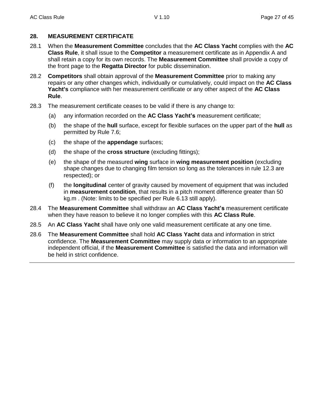## **28. MEASUREMENT CERTIFICATE**

- 28.1 When the **Measurement Committee** concludes that the **AC Class Yacht** complies with the **AC Class Rule**, it shall issue to the **Competitor** a measurement certificate as in Appendix A and shall retain a copy for its own records. The **Measurement Committee** shall provide a copy of the front page to the **Regatta Director** for public dissemination.
- 28.2 **Competitors** shall obtain approval of the **Measurement Committee** prior to making any repairs or any other changes which, individually or cumulatively, could impact on the **AC Class Yacht's** compliance with her measurement certificate or any other aspect of the **AC Class Rule**.
- 28.3 The measurement certificate ceases to be valid if there is any change to:
	- (a) any information recorded on the **AC Class Yacht's** measurement certificate;
	- (b) the shape of the **hull** surface, except for flexible surfaces on the upper part of the **hull** as permitted by Rule 7.6;
	- (c) the shape of the **appendage** surfaces;
	- (d) the shape of the **cross structure** (excluding fittings);
	- (e) the shape of the measured **wing** surface in **wing measurement position** (excluding shape changes due to changing film tension so long as the tolerances in rule 12.3 are respected); or
	- (f) the **longitudinal** center of gravity caused by movement of equipment that was included in **measurement condition**, that results in a pitch moment difference greater than 50 kg.m . (Note: limits to be specified per Rule 6.13 still apply).
- 28.4 The **Measurement Committee** shall withdraw an **AC Class Yacht's** measurement certificate when they have reason to believe it no longer complies with this **AC Class Rule**.
- 28.5 An **AC Class Yacht** shall have only one valid measurement certificate at any one time.
- 28.6 The **Measurement Committee** shall hold **AC Class Yacht** data and information in strict confidence. The **Measurement Committee** may supply data or information to an appropriate independent official, if the **Measurement Committee** is satisfied the data and information will be held in strict confidence.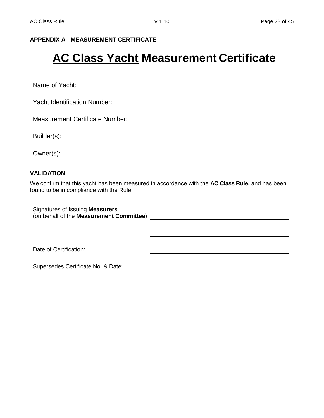## **APPENDIX A - MEASUREMENT CERTIFICATE**

## **AC Class Yacht Measurement Certificate**

Name of Yacht:

Yacht Identification Number:

Measurement Certificate Number:

Builder(s):

Owner(s):

#### **VALIDATION**

We confirm that this yacht has been measured in accordance with the **AC Class Rule**, and has been found to be in compliance with the Rule.

Signatures of Issuing **Measurers** (on behalf of the **Measurement Committee**)

Date of Certification:

Supersedes Certificate No. & Date: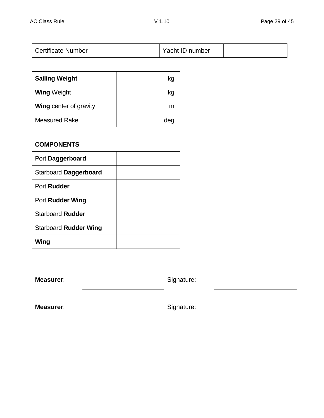| <b>Certificate Number</b> |  | Yacht ID number |  |
|---------------------------|--|-----------------|--|
|---------------------------|--|-----------------|--|

| <b>Sailing Weight</b>         | kq  |
|-------------------------------|-----|
| <b>Wing Weight</b>            | kg  |
| <b>Wing center of gravity</b> | m   |
| <b>Measured Rake</b>          | dec |

## **COMPONENTS**

| Port Daggerboard             |  |
|------------------------------|--|
| Starboard Daggerboard        |  |
| Port Rudder                  |  |
| Port Rudder Wing             |  |
| <b>Starboard Rudder</b>      |  |
| <b>Starboard Rudder Wing</b> |  |
| Wing                         |  |

**Measurer:** Signature:

**Measurer:** Signature: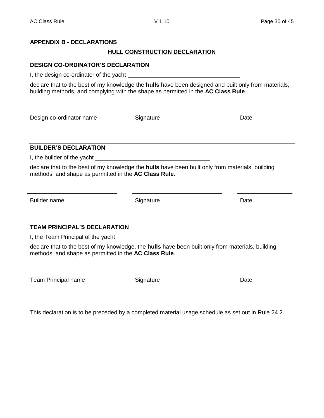## **APPENDIX B - DECLARATIONS**

## **HULL CONSTRUCTION DECLARATION**

## **DESIGN CO-ORDINATOR'S DECLARATION**

I, the design co-ordinator of the yacht

declare that to the best of my knowledge the **hulls** have been designed and built only from materials, building methods, and complying with the shape as permitted in the **AC Class Rule**.

Design co-ordinator name Signature Date

## **BUILDER'S DECLARATION**

I, the builder of the yacht

declare that to the best of my knowledge the **hulls** have been built only from materials, building methods, and shape as permitted in the **AC Class Rule**.

Builder name **Signature Signature Signature Signature Date** 

## **TEAM PRINCIPAL'S DECLARATION**

I, the Team Principal of the yacht

declare that to the best of my knowledge, the **hulls** have been built only from materials, building methods, and shape as permitted in the **AC Class Rule**.

Team Principal name **Signature** Signature **Date** Date

This declaration is to be preceded by a completed material usage schedule as set out in Rule 24.2.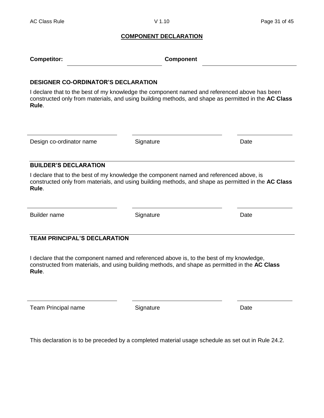#### **COMPONENT DECLARATION**

| <b>Competitor:</b> | <b>Component</b> |
|--------------------|------------------|
|--------------------|------------------|

#### **DESIGNER CO-ORDINATOR'S DECLARATION**

I declare that to the best of my knowledge the component named and referenced above has been constructed only from materials, and using building methods, and shape as permitted in the **AC Class Rule**.

Design co-ordinator name Signature Date

## **BUILDER'S DECLARATION**

I declare that to the best of my knowledge the component named and referenced above, is constructed only from materials, and using building methods, and shape as permitted in the **AC Class Rule**.

Builder name **Signature Contact System Contact Contact Contact Contact Contact Contact Contact Contact Contact Contact Contact Contact Contact Contact Contact Contact Contact Contact Contact Contact Contact Contact Conta** 

## **TEAM PRINCIPAL'S DECLARATION**

I declare that the component named and referenced above is, to the best of my knowledge, constructed from materials, and using building methods, and shape as permitted in the **AC Class Rule**.

Team Principal name **Signature** Signature **Date** Date

This declaration is to be preceded by a completed material usage schedule as set out in Rule 24.2.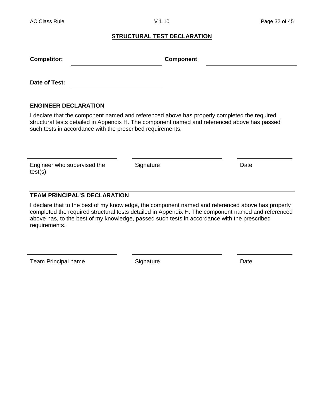#### **STRUCTURAL TEST DECLARATION**

| <b>Competitor:</b> | <b>Component</b> |
|--------------------|------------------|
|                    |                  |
| Date of Test:      |                  |

## **ENGINEER DECLARATION**

I declare that the component named and referenced above has properly completed the required structural tests detailed in Appendix H. The component named and referenced above has passed such tests in accordance with the prescribed requirements.

Engineer who supervised the test(s)

Signature Date

## **TEAM PRINCIPAL'S DECLARATION**

I declare that to the best of my knowledge, the component named and referenced above has properly completed the required structural tests detailed in Appendix H. The component named and referenced above has, to the best of my knowledge, passed such tests in accordance with the prescribed requirements.

Team Principal name Signature Signature Date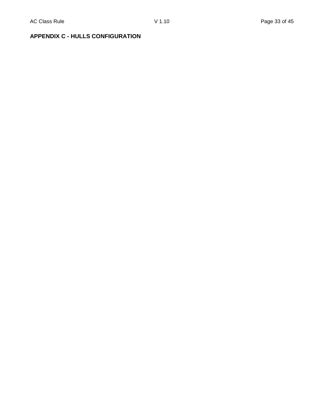## **APPENDIX C - HULLS CONFIGURATION**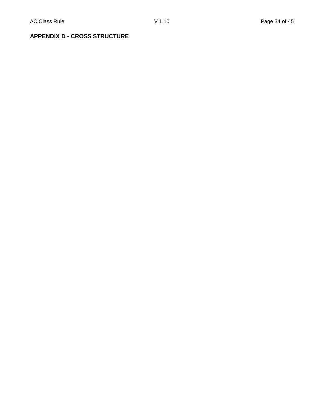## **APPENDIX D - CROSS STRUCTURE**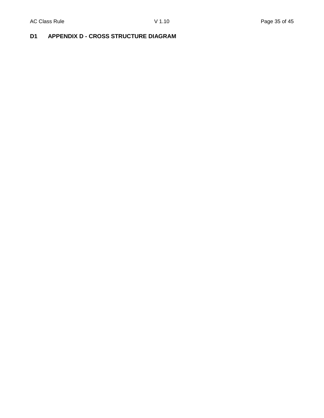## **D1 APPENDIX D - CROSS STRUCTURE DIAGRAM**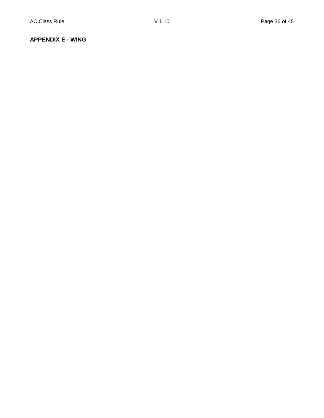#### **APPENDIX E - WING**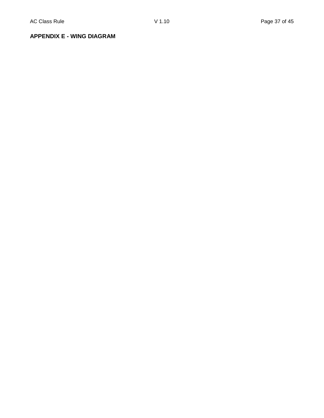#### **APPENDIX E - WING DIAGRAM**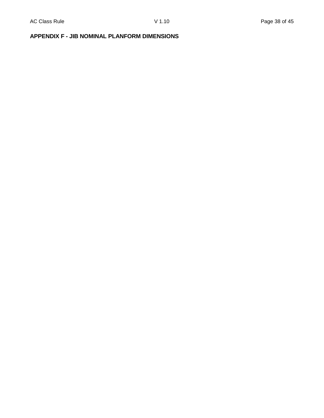## **APPENDIX F - JIB NOMINAL PLANFORM DIMENSIONS**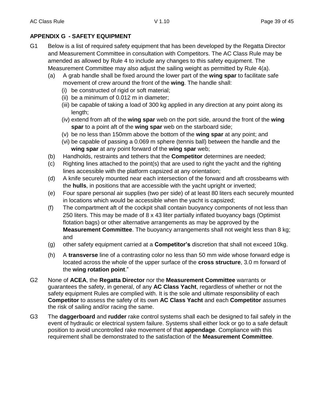## **APPENDIX G - SAFETY EQUIPMENT**

- G1 Below is a list of required safety equipment that has been developed by the Regatta Director and Measurement Committee in consultation with Competitors. The AC Class Rule may be amended as allowed by Rule 4 to include any changes to this safety equipment. The Measurement Committee may also adjust the sailing weight as permitted by Rule 4(a).
	- (a) A grab handle shall be fixed around the lower part of the **wing spar** to facilitate safe movement of crew around the front of the **wing**. The handle shall:
		- (i) be constructed of rigid or soft material;
		- (ii) be a minimum of 0.012 m in diameter;
		- (iii) be capable of taking a load of 300 kg applied in any direction at any point along its length;
		- (iv) extend from aft of the **wing spar** web on the port side, around the front of the **wing spar** to a point aft of the **wing spar** web on the starboard side;
		- (v) be no less than 150mm above the bottom of the **wing spar** at any point; and
		- (vi) be capable of passing a 0.069 m sphere (tennis ball) between the handle and the **wing spar** at any point forward of the **wing spar** web;
	- (b) Handholds, restraints and tethers that the **Competitor** determines are needed;
	- (c) Righting lines attached to the point(s) that are used to right the yacht and the righting lines accessible with the platform capsized at any orientation;
	- (d) A knife securely mounted near each intersection of the forward and aft crossbeams with the **hulls**, in positions that are accessible with the yacht upright or inverted;
	- (e) Four spare personal air supplies (two per side) of at least 80 liters each securely mounted in locations which would be accessible when the yacht is capsized;
	- (f) The compartment aft of the cockpit shall contain buoyancy components of not less than 250 liters. This may be made of 8 x 43 liter partially inflated buoyancy bags (Optimist flotation bags) or other alternative arrangements as may be approved by the **Measurement Committee**. The buoyancy arrangements shall not weight less than 8 kg; and
	- (g) other safety equipment carried at a **Competitor's** discretion that shall not exceed 10kg.
	- (h) A **transverse** line of a contrasting color no less than 50 mm wide whose forward edge is located across the whole of the upper surface of the **cross structure**, 3.0 m forward of the **wing rotation point**."
- G2 None of **ACEA**, the **Regatta Director** nor the **Measurement Committee** warrants or guarantees the safety, in general, of any **AC Class Yacht**, regardless of whether or not the safety equipment Rules are complied with. It is the sole and ultimate responsibility of each **Competitor** to assess the safety of its own **AC Class Yacht** and each **Competitor** assumes the risk of sailing and/or racing the same.
- G3 The **daggerboard** and **rudder** rake control systems shall each be designed to fail safely in the event of hydraulic or electrical system failure. Systems shall either lock or go to a safe default position to avoid uncontrolled rake movement of that **appendage**. Compliance with this requirement shall be demonstrated to the satisfaction of the **Measurement Committee**.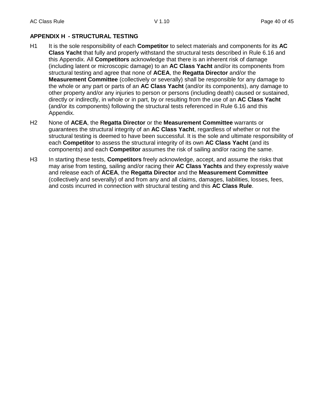## **APPENDIX H - STRUCTURAL TESTING**

- H1 It is the sole responsibility of each **Competitor** to select materials and components for its **AC Class Yacht** that fully and properly withstand the structural tests described in Rule 6.16 and this Appendix. All **Competitors** acknowledge that there is an inherent risk of damage (including latent or microscopic damage) to an **AC Class Yacht** and/or its components from structural testing and agree that none of **ACEA**, the **Regatta Director** and/or the **Measurement Committee** (collectively or severally) shall be responsible for any damage to the whole or any part or parts of an **AC Class Yacht** (and/or its components), any damage to other property and/or any injuries to person or persons (including death) caused or sustained, directly or indirectly, in whole or in part, by or resulting from the use of an **AC Class Yacht** (and/or its components) following the structural tests referenced in Rule 6.16 and this Appendix.
- H2 None of **ACEA**, the **Regatta Director** or the **Measurement Committee** warrants or guarantees the structural integrity of an **AC Class Yacht**, regardless of whether or not the structural testing is deemed to have been successful. It is the sole and ultimate responsibility of each **Competitor** to assess the structural integrity of its own **AC Class Yacht** (and its components) and each **Competitor** assumes the risk of sailing and/or racing the same.
- H3 In starting these tests, **Competitors** freely acknowledge, accept, and assume the risks that may arise from testing, sailing and/or racing their **AC Class Yachts** and they expressly waive and release each of **ACEA**, the **Regatta Director** and the **Measurement Committee** (collectively and severally) of and from any and all claims, damages, liabilities, losses, fees, and costs incurred in connection with structural testing and this **AC Class Rule**.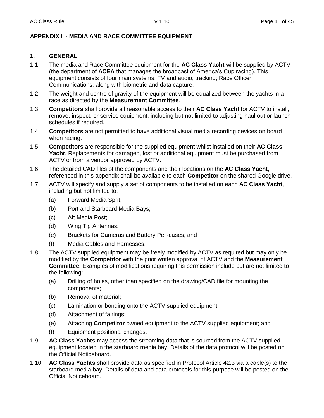## **APPENDIX I - MEDIA AND RACE COMMITTEE EQUIPMENT**

## **1. GENERAL**

- 1.1 The media and Race Committee equipment for the **AC Class Yacht** will be supplied by ACTV (the department of **ACEA** that manages the broadcast of America's Cup racing). This equipment consists of four main systems; TV and audio; tracking; Race Officer Communications; along with biometric and data capture.
- 1.2 The weight and centre of gravity of the equipment will be equalized between the yachts in a race as directed by the **Measurement Committee**.
- 1.3 **Competitors** shall provide all reasonable access to their **AC Class Yacht** for ACTV to install, remove, inspect, or service equipment, including but not limited to adjusting haul out or launch schedules if required.
- 1.4 **Competitors** are not permitted to have additional visual media recording devices on board when racing.
- 1.5 **Competitors** are responsible for the supplied equipment whilst installed on their **AC Class Yacht**. Replacements for damaged, lost or additional equipment must be purchased from ACTV or from a vendor approved by ACTV.
- 1.6 The detailed CAD files of the components and their locations on the **AC Class Yacht**, referenced in this appendix shall be available to each **Competitor** on the shared Google drive.
- 1.7 ACTV will specify and supply a set of components to be installed on each **AC Class Yacht**, including but not limited to:
	- (a) Forward Media Sprit;
	- (b) Port and Starboard Media Bays;
	- (c) Aft Media Post;
	- (d) Wing Tip Antennas;
	- (e) Brackets for Cameras and Battery Peli-cases; and
	- (f) Media Cables and Harnesses.
- 1.8 The ACTV supplied equipment may be freely modified by ACTV as required but may only be modified by the **Competitor** with the prior written approval of ACTV and the **Measurement Committee**. Examples of modifications requiring this permission include but are not limited to the following:
	- (a) Drilling of holes, other than specified on the drawing/CAD file for mounting the components;
	- (b) Removal of material;
	- (c) Lamination or bonding onto the ACTV supplied equipment;
	- (d) Attachment of fairings;
	- (e) Attaching **Competitor** owned equipment to the ACTV supplied equipment; and
	- (f) Equipment positional changes.
- 1.9 **AC Class Yachts** may access the streaming data that is sourced from the ACTV supplied equipment located in the starboard media bay. Details of the data protocol will be posted on the Official Noticeboard.
- 1.10 **AC Class Yachts** shall provide data as specified in Protocol Article 42.3 via a cable(s) to the starboard media bay. Details of data and data protocols for this purpose will be posted on the Official Noticeboard.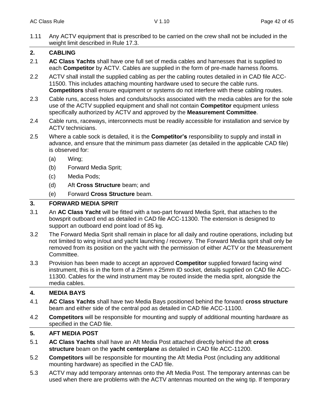1.11 Any ACTV equipment that is prescribed to be carried on the crew shall not be included in the weight limit described in Rule 17.3.

## **2. CABLING**

- 2.1 **AC Class Yachts** shall have one full set of media cables and harnesses that is supplied to each **Competitor** by ACTV. Cables are supplied in the form of pre-made harness /looms.
- 2.2 ACTV shall install the supplied cabling as per the cabling routes detailed in in CAD file ACC-11500. This includes attaching mounting hardware used to secure the cable runs. **Competitors** shall ensure equipment or systems do not interfere with these cabling routes.
- 2.3 Cable runs, access holes and conduits/socks associated with the media cables are for the sole use of the ACTV supplied equipment and shall not contain **Competitor** equipment unless specifically authorized by ACTV and approved by the **Measurement Committee**.
- 2.4 Cable runs, raceways, interconnects must be readily accessible for installation and service by ACTV technicians.
- 2.5 Where a cable sock is detailed, it is the **Competitor's** responsibility to supply and install in advance, and ensure that the minimum pass diameter (as detailed in the applicable CAD file) is observed for:
	- (a) Wing;
	- (b) Forward Media Sprit;
	- (c) Media Pods;
	- (d) Aft **Cross Structure** beam; and
	- (e) Forward **Cross Structure** beam.

## **3. FORWARD MEDIA SPRIT**

- 3.1 An **AC Class Yacht** will be fitted with a two-part forward Media Sprit, that attaches to the bowsprit outboard end as detailed in CAD file ACC-11300. The extension is designed to support an outboard end point load of 85 kg.
- 3.2 The Forward Media Sprit shall remain in place for all daily and routine operations, including but not limited to wing in/out and yacht launching / recovery. The Forward Media sprit shall only be removed from its position on the yacht with the permission of either ACTV or the Measurement Committee.
- 3.3 Provision has been made to accept an approved **Competitor** supplied forward facing wind instrument, this is in the form of a 25mm x 25mm ID socket, details supplied on CAD file ACC-11300. Cables for the wind instrument may be routed inside the media sprit, alongside the media cables.

## **4. MEDIA BAYS**

- 4.1 **AC Class Yachts** shall have two Media Bays positioned behind the forward **cross structure** beam and either side of the central pod as detailed in CAD file ACC-11100.
- 4.2 **Competitors** will be responsible for mounting and supply of additional mounting hardware as specified in the CAD file.

## **5. AFT MEDIA POST**

- 5.1 **AC Class Yachts** shall have an Aft Media Post attached directly behind the aft **cross structure** beam on the **yacht centerplane** as detailed in CAD file ACC-11200.
- 5.2 **Competitors** will be responsible for mounting the Aft Media Post (including any additional mounting hardware) as specified in the CAD file.
- 5.3 ACTV may add temporary antennas onto the Aft Media Post. The temporary antennas can be used when there are problems with the ACTV antennas mounted on the wing tip. If temporary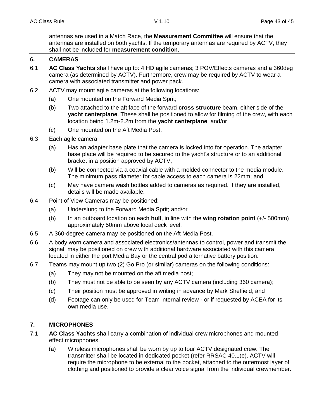antennas are used in a Match Race, the **Measurement Committee** will ensure that the antennas are installed on both yachts. If the temporary antennas are required by ACTV, they shall not be included for **measurement condition**.

## **6. CAMERAS**

- 6.1 **AC Class Yachts** shall have up to: 4 HD agile cameras; 3 POV/Effects cameras and a 360deg camera (as determined by ACTV). Furthermore, crew may be required by ACTV to wear a camera with associated transmitter and power pack.
- 6.2 ACTV may mount agile cameras at the following locations:
	- (a) One mounted on the Forward Media Sprit;
	- (b) Two attached to the aft face of the forward **cross structure** beam, either side of the **yacht centerplane**. These shall be positioned to allow for filming of the crew, with each location being 1.2m-2.2m from the **yacht centerplane**; and/or
	- (c) One mounted on the Aft Media Post.
- 6.3 Each agile camera:
	- (a) Has an adapter base plate that the camera is locked into for operation. The adapter base place will be required to be secured to the yacht's structure or to an additional bracket in a position approved by ACTV;
	- (b) Will be connected via a coaxial cable with a molded connector to the media module. The minimum pass diameter for cable access to each camera is 22mm; and
	- (c) May have camera wash bottles added to cameras as required. If they are installed, details will be made available.
- 6.4 Point of View Cameras may be positioned:
	- (a) Underslung to the Forward Media Sprit; and/or
	- (b) In an outboard location on each **hull**, in line with the **wing rotation point** (+/- 500mm) approximately 50mm above local deck level.
- 6.5 A 360-degree camera may be positioned on the Aft Media Post.
- 6.6 A body worn camera and associated electronics/antennas to control, power and transmit the signal, may be positioned on crew with additional hardware associated with this camera located in either the port Media Bay or the central pod alternative battery position.
- 6.7 Teams may mount up two (2) Go Pro (or similar) cameras on the following conditions:
	- (a) They may not be mounted on the aft media post;
	- (b) They must not be able to be seen by any ACTV camera (including 360 camera);
	- (c) Their position must be approved in writing in advance by Mark Sheffield; and
	- (d) Footage can only be used for Team internal review or if requested by ACEA for its own media use.

## **7. MICROPHONES**

- 7.1 **AC Class Yachts** shall carry a combination of individual crew microphones and mounted effect microphones.
	- (a) Wireless microphones shall be worn by up to four ACTV designated crew. The transmitter shall be located in dedicated pocket (refer RRSAC 40.1(e). ACTV will require the microphone to be external to the pocket, attached to the outermost layer of clothing and positioned to provide a clear voice signal from the individual crewmember.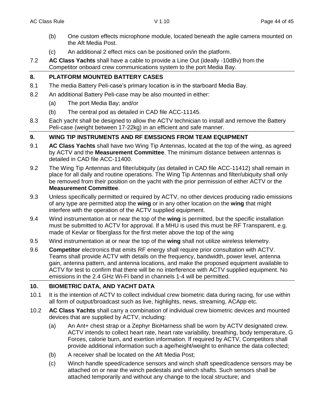- (b) One custom effects microphone module, located beneath the agile camera mounted on the Aft Media Post.
- (c) An additional 2 effect mics can be positioned on/in the platform.
- 7.2 **AC Class Yachts** shall have a cable to provide a Line Out (ideally -10dBv) from the Competitor onboard crew communications system to the port Media Bay.

## **8. PLATFORM MOUNTED BATTERY CASES**

- 8.1 The media Battery Peli-case's primary location is in the starboard Media Bay.
- 8.2 An additional Battery Peli-case may be also mounted in either:
	- (a) The port Media Bay; and/or
	- (b) The central pod as detailed in CAD file ACC-11145.
- 8.3 Each yacht shall be designed to allow the ACTV technician to install and remove the Battery Peli-case (weight between 17-22kg) in an efficient and safe manner.

## **9. WING TIP INSTRUMENTS AND RF EMSSIONS FROM TEAM EQUIPMENT**

- 9.1 **AC Class Yachts** shall have two Wing Tip Antennas, located at the top of the wing, as agreed by ACTV and the **Measurement Committee**. The minimum distance between antennas is detailed in CAD file ACC-11400.
- 9.2 The Wing Tip Antennas and filter/ubiquity (as detailed in CAD file ACC-11412) shall remain in place for all daily and routine operations. The Wing Tip Antennas and filter/ubiquity shall only be removed from their position on the yacht with the prior permission of either ACTV or the **Measurement Committee**.
- 9.3 Unless specifically permitted or required by ACTV, no other devices producing radio emissions of any type are permitted atop the **wing** or in any other location on the **wing** that might interfere with the operation of the ACTV supplied equipment.
- 9.4 Wind instrumentation at or near the top of the **wing** is permitted, but the specific installation must be submitted to ACTV for approval. If a MHU is used this must be RF Transparent, e.g. made of Kevlar or fiberglass for the first meter above the top of the wing
- 9.5 Wind instrumentation at or near the top of the **wing** shall not utilize wireless telemetry.
- 9.6 **Competitor** electronics that emits RF energy shall require prior consultation with ACTV. Teams shall provide ACTV with details on the frequency, bandwidth, power level, antenna gain, antenna pattern, and antenna locations, and make the proposed equipment available to ACTV for test to confirm that there will be no interference with ACTV supplied equipment. No emissions in the 2.4 GHz Wi-Fi band in channels 1-4 will be permitted.

## **10. BIOMETRIC DATA, AND YACHT DATA**

- 10.1 It is the intention of ACTV to collect individual crew biometric data during racing, for use within all form of output/broadcast such as live, highlights, news, streaming, ACApp etc.
- 10.2 **AC Class Yachts** shall carry a combination of individual crew biometric devices and mounted devices that are supplied by ACTV, including:
	- (a) An Ant+ chest strap or a Zephyr BioHarness shall be worn by ACTV designated crew. ACTV intends to collect heart rate, heart rate variability, breathing, body temperature, G Forces, calorie burn, and exertion information. If required by ACTV, Competitors shall provide additional information such a age/height/weight to enhance the data collected;
	- (b) A receiver shall be located on the Aft Media Post;
	- (c) Winch handle speed/cadence sensors and winch shaft speed/cadence sensors may be attached on or near the winch pedestals and winch shafts. Such sensors shall be attached temporarily and without any change to the local structure; and